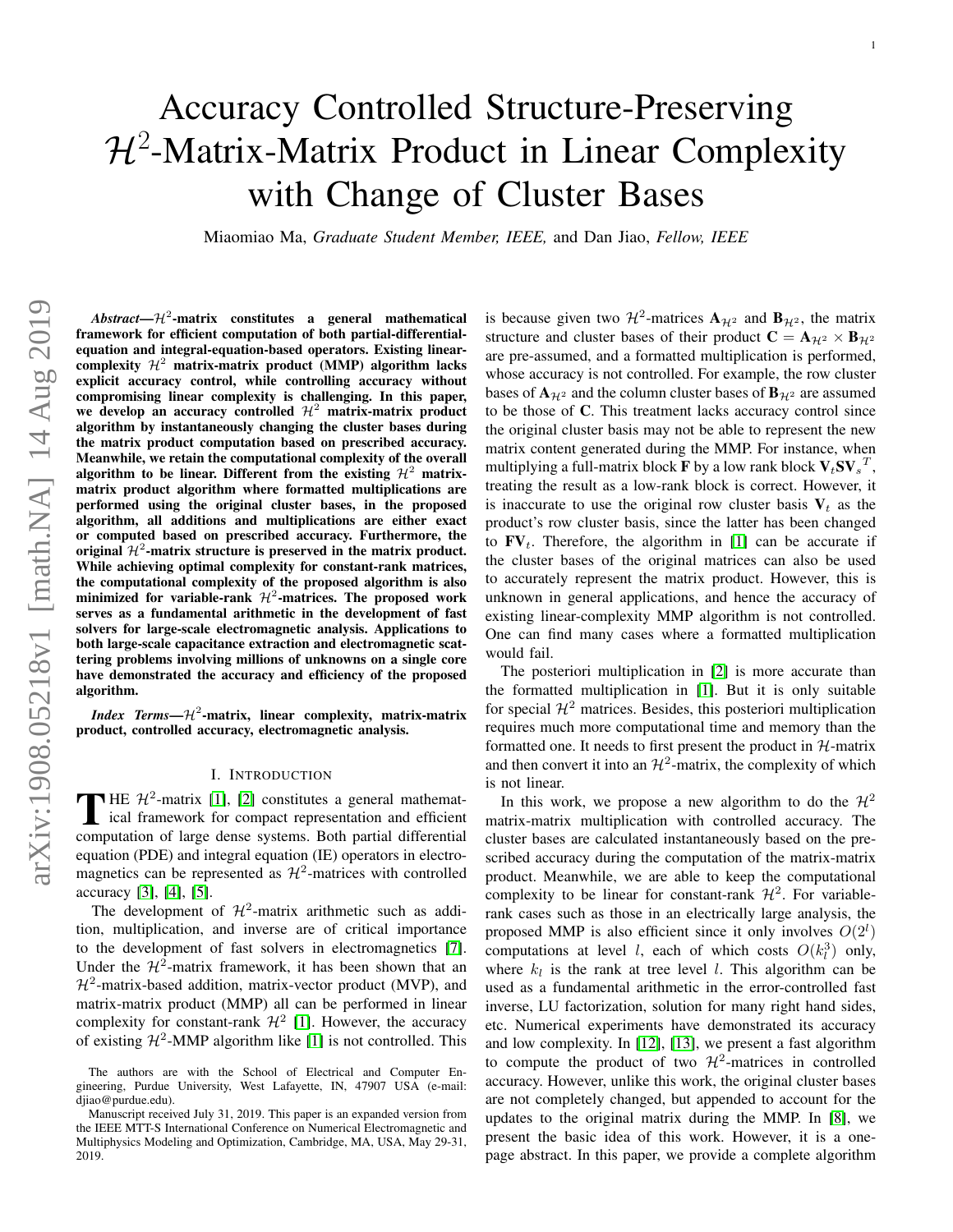# Accuracy Controlled Structure-Preserving  $H^2$ -Matrix-Matrix Product in Linear Complexity with Change of Cluster Bases

Miaomiao Ma, *Graduate Student Member, IEEE,* and Dan Jiao, *Fellow, IEEE*

 $Abstract - H<sup>2</sup>$ -matrix constitutes a general mathematical framework for efficient computation of both partial-differentialequation and integral-equation-based operators. Existing linearcomplexity  $\mathcal{H}^2$  matrix-matrix product (MMP) algorithm lacks explicit accuracy control, while controlling accuracy without compromising linear complexity is challenging. In this paper, we develop an accuracy controlled  $\mathcal{H}^2$  matrix-matrix product algorithm by instantaneously changing the cluster bases during the matrix product computation based on prescribed accuracy. Meanwhile, we retain the computational complexity of the overall algorithm to be linear. Different from the existing  $H^2$  matrixmatrix product algorithm where formatted multiplications are performed using the original cluster bases, in the proposed algorithm, all additions and multiplications are either exact or computed based on prescribed accuracy. Furthermore, the original  $\mathcal{H}^2$ -matrix structure is preserved in the matrix product. While achieving optimal complexity for constant-rank matrices, the computational complexity of the proposed algorithm is also minimized for variable-rank  $\mathcal{H}^2$ -matrices. The proposed work serves as a fundamental arithmetic in the development of fast solvers for large-scale electromagnetic analysis. Applications to both large-scale capacitance extraction and electromagnetic scattering problems involving millions of unknowns on a single core have demonstrated the accuracy and efficiency of the proposed algorithm.

*Index Terms—* $\mathcal{H}^2$ *-matrix, linear complexity, matrix-matrix* product, controlled accuracy, electromagnetic analysis.

#### I. INTRODUCTION

THE  $\mathcal{H}^2$ -matrix [\[1\]](#page-11-0), [\[2\]](#page-11-1) constitutes a general mathemat-<br>ical framework for compact representation and efficient ical framework for compact representation and efficient computation of large dense systems. Both partial differential equation (PDE) and integral equation (IE) operators in electromagnetics can be represented as  $\mathcal{H}^2$ -matrices with controlled accuracy [\[3\]](#page-11-2), [\[4\]](#page-11-3), [\[5\]](#page-11-4).

The development of  $\mathcal{H}^2$ -matrix arithmetic such as addition, multiplication, and inverse are of critical importance to the development of fast solvers in electromagnetics [\[7\]](#page-11-5). Under the  $\mathcal{H}^2$ -matrix framework, it has been shown that an  $H^2$ -matrix-based addition, matrix-vector product (MVP), and matrix-matrix product (MMP) all can be performed in linear complexity for constant-rank  $\mathcal{H}^2$  [\[1\]](#page-11-0). However, the accuracy of existing  $H^2$ -MMP algorithm like [\[1\]](#page-11-0) is not controlled. This

is because given two  $\mathcal{H}^2$ -matrices  $\mathbf{A}_{\mathcal{H}^2}$  and  $\mathbf{B}_{\mathcal{H}^2}$ , the matrix structure and cluster bases of their product  $C = A_{H^2} \times B_{H^2}$ are pre-assumed, and a formatted multiplication is performed, whose accuracy is not controlled. For example, the row cluster bases of  $\mathbf{A}_{\mathcal{H}^2}$  and the column cluster bases of  $\mathbf{B}_{\mathcal{H}^2}$  are assumed to be those of C. This treatment lacks accuracy control since the original cluster basis may not be able to represent the new matrix content generated during the MMP. For instance, when multiplying a full-matrix block  $\overline{\mathbf{F}}$  by a low rank block  $\mathbf{V}_t\mathbf{SV}_s^T$ , treating the result as a low-rank block is correct. However, it is inaccurate to use the original row cluster basis  $V_t$  as the product's row cluster basis, since the latter has been changed to  $\mathbf{FV}_t$ . Therefore, the algorithm in [\[1\]](#page-11-0) can be accurate if the cluster bases of the original matrices can also be used to accurately represent the matrix product. However, this is unknown in general applications, and hence the accuracy of existing linear-complexity MMP algorithm is not controlled. One can find many cases where a formatted multiplication would fail.

The posteriori multiplication in [\[2\]](#page-11-1) is more accurate than the formatted multiplication in [\[1\]](#page-11-0). But it is only suitable for special  $\mathcal{H}^2$  matrices. Besides, this posteriori multiplication requires much more computational time and memory than the formatted one. It needs to first present the product in  $H$ -matrix and then convert it into an  $\mathcal{H}^2$ -matrix, the complexity of which is not linear.

In this work, we propose a new algorithm to do the  $\mathcal{H}^2$ matrix-matrix multiplication with controlled accuracy. The cluster bases are calculated instantaneously based on the prescribed accuracy during the computation of the matrix-matrix product. Meanwhile, we are able to keep the computational complexity to be linear for constant-rank  $\mathcal{H}^2$ . For variablerank cases such as those in an electrically large analysis, the proposed MMP is also efficient since it only involves  $O(2^l)$ computations at level *l*, each of which costs  $O(k_l^3)$  only, where  $k_l$  is the rank at tree level l. This algorithm can be used as a fundamental arithmetic in the error-controlled fast inverse, LU factorization, solution for many right hand sides, etc. Numerical experiments have demonstrated its accuracy and low complexity. In [\[12\]](#page-11-6), [\[13\]](#page-11-7), we present a fast algorithm to compute the product of two  $\mathcal{H}^2$ -matrices in controlled accuracy. However, unlike this work, the original cluster bases are not completely changed, but appended to account for the updates to the original matrix during the MMP. In [\[8\]](#page-11-8), we present the basic idea of this work. However, it is a onepage abstract. In this paper, we provide a complete algorithm

The authors are with the School of Electrical and Computer Engineering, Purdue University, West Lafayette, IN, 47907 USA (e-mail: djiao@purdue.edu).

Manuscript received July 31, 2019. This paper is an expanded version from the IEEE MTT-S International Conference on Numerical Electromagnetic and Multiphysics Modeling and Optimization, Cambridge, MA, USA, May 29-31, 2019.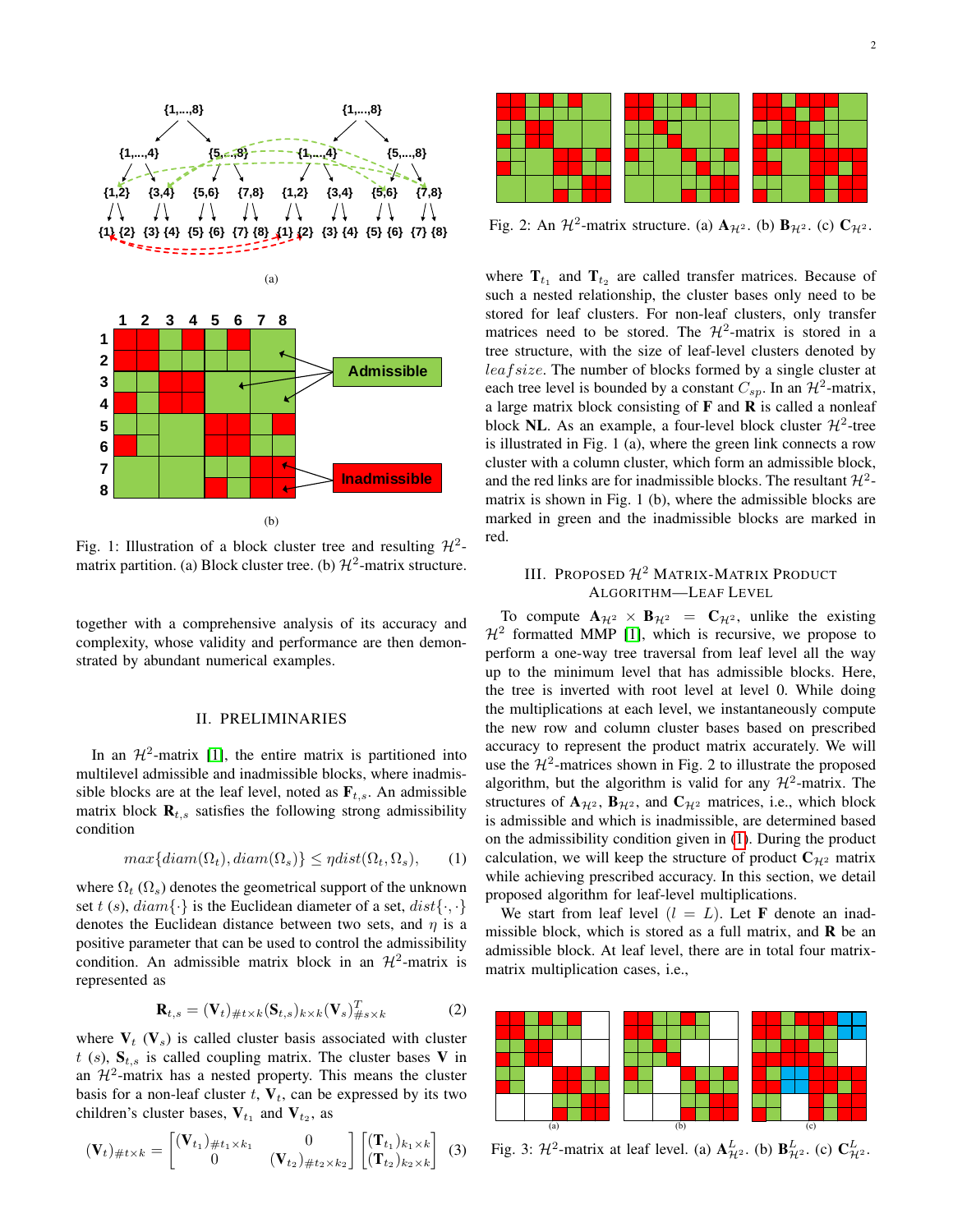

Fig. 1: Illustration of a block cluster tree and resulting  $\mathcal{H}^2$ matrix partition. (a) Block cluster tree. (b)  $\mathcal{H}^2$ -matrix structure.

together with a comprehensive analysis of its accuracy and complexity, whose validity and performance are then demonstrated by abundant numerical examples.

## II. PRELIMINARIES

In an  $\mathcal{H}^2$ -matrix [\[1\]](#page-11-0), the entire matrix is partitioned into multilevel admissible and inadmissible blocks, where inadmissible blocks are at the leaf level, noted as  $\mathbf{F}_{t,s}$ . An admissible matrix block  $\mathbf{R}_{t,s}$  satisfies the following strong admissibility condition

<span id="page-1-0"></span>
$$
max\{diam(\Omega_t), diam(\Omega_s)\} \le \eta dist(\Omega_t, \Omega_s), \qquad (1)
$$

where  $\Omega_t$  ( $\Omega_s$ ) denotes the geometrical support of the unknown set t (s),  $diam\{\cdot\}$  is the Euclidean diameter of a set,  $dist\{\cdot, \cdot\}$ denotes the Euclidean distance between two sets, and  $\eta$  is a positive parameter that can be used to control the admissibility condition. An admissible matrix block in an  $\mathcal{H}^2$ -matrix is represented as

$$
\mathbf{R}_{t,s} = (\mathbf{V}_t)_{\#t \times k} (\mathbf{S}_{t,s})_{k \times k} (\mathbf{V}_s)_{\#s \times k}^T
$$
 (2)

where  $V_t$  ( $V_s$ ) is called cluster basis associated with cluster  $t$  (s),  $S_{t,s}$  is called coupling matrix. The cluster bases V in an  $\mathcal{H}^2$ -matrix has a nested property. This means the cluster basis for a non-leaf cluster  $t$ ,  $V_t$ , can be expressed by its two children's cluster bases,  $V_{t_1}$  and  $V_{t_2}$ , as

$$
(\mathbf{V}_t)_{\#t\times k} = \begin{bmatrix} (\mathbf{V}_{t_1})_{\#t_1\times k_1} & 0\\ 0 & (\mathbf{V}_{t_2})_{\#t_2\times k_2} \end{bmatrix} \begin{bmatrix} (\mathbf{T}_{t_1})_{k_1\times k} \\ (\mathbf{T}_{t_2})_{k_2\times k} \end{bmatrix}
$$
 (3)



Fig. 2: An  $\mathcal{H}^2$ -matrix structure. (a)  $\mathbf{A}_{\mathcal{H}^2}$ . (b)  $\mathbf{B}_{\mathcal{H}^2}$ . (c)  $\mathbf{C}_{\mathcal{H}^2}$ .

where  $\mathbf{T}_{t_1}$  and  $\mathbf{T}_{t_2}$  are called transfer matrices. Because of such a nested relationship, the cluster bases only need to be stored for leaf clusters. For non-leaf clusters, only transfer matrices need to be stored. The  $\mathcal{H}^2$ -matrix is stored in a tree structure, with the size of leaf-level clusters denoted by leaf size. The number of blocks formed by a single cluster at each tree level is bounded by a constant  $C_{sp}$ . In an  $\mathcal{H}^2$ -matrix, a large matrix block consisting of  $F$  and  $R$  is called a nonleaf block NL. As an example, a four-level block cluster  $\mathcal{H}^2$ -tree is illustrated in Fig. 1 (a), where the green link connects a row cluster with a column cluster, which form an admissible block, and the red links are for inadmissible blocks. The resultant  $\mathcal{H}^2$ matrix is shown in Fig. 1 (b), where the admissible blocks are marked in green and the inadmissible blocks are marked in red.

## III. PROPOSED  $\mathcal{H}^2$  MATRIX-MATRIX PRODUCT ALGORITHM—LEAF LEVEL

To compute  $\mathbf{A}_{\mathcal{H}^2} \times \mathbf{B}_{\mathcal{H}^2} = \mathbf{C}_{\mathcal{H}^2}$ , unlike the existing  $H<sup>2</sup>$  formatted MMP [\[1\]](#page-11-0), which is recursive, we propose to perform a one-way tree traversal from leaf level all the way up to the minimum level that has admissible blocks. Here, the tree is inverted with root level at level 0. While doing the multiplications at each level, we instantaneously compute the new row and column cluster bases based on prescribed accuracy to represent the product matrix accurately. We will use the  $H^2$ -matrices shown in Fig. 2 to illustrate the proposed algorithm, but the algorithm is valid for any  $\mathcal{H}^2$ -matrix. The structures of  $A_{\mathcal{H}^2}$ ,  $B_{\mathcal{H}^2}$ , and  $C_{\mathcal{H}^2}$  matrices, i.e., which block is admissible and which is inadmissible, are determined based on the admissibility condition given in [\(1\)](#page-1-0). During the product calculation, we will keep the structure of product  $C_{\mathcal{H}^2}$  matrix while achieving prescribed accuracy. In this section, we detail proposed algorithm for leaf-level multiplications.

We start from leaf level  $(l = L)$ . Let **F** denote an inadmissible block, which is stored as a full matrix, and  $\bf{R}$  be an admissible block. At leaf level, there are in total four matrixmatrix multiplication cases, i.e.,



Fig. 3:  $\mathcal{H}^2$ -matrix at leaf level. (a)  $\mathbf{A}_{\mathcal{H}^2}^L$ . (b)  $\mathbf{B}_{\mathcal{H}^2}^L$ . (c)  $\mathbf{C}_{\mathcal{H}^2}^L$ .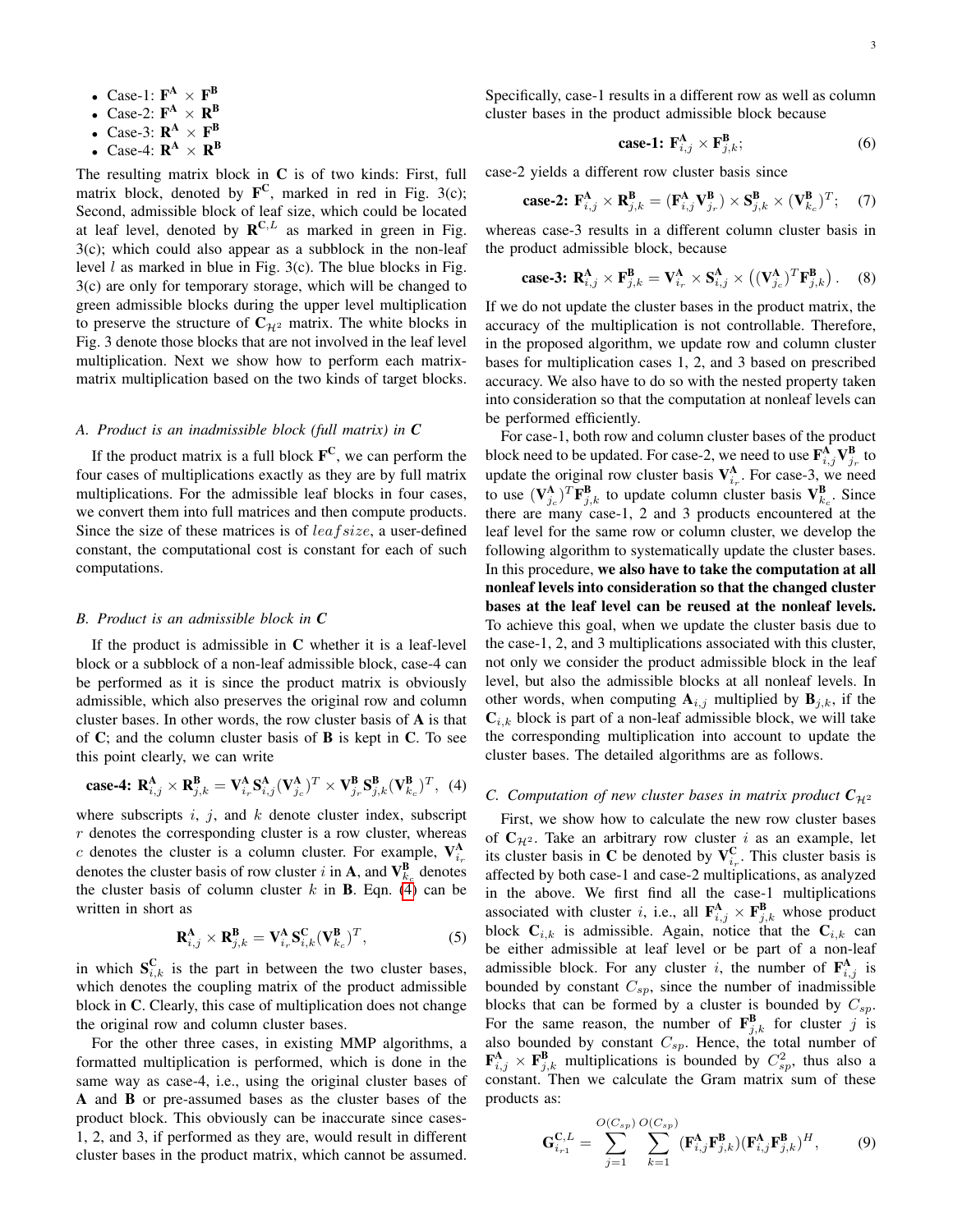- Case-1:  $\mathbf{F}^{\mathbf{A}} \times \mathbf{F}^{\mathbf{B}}$
- Case-2:  $\mathbf{F}^{\mathbf{A}} \times \mathbf{R}^{\mathbf{B}}$
- Case-3:  $\mathbf{R}^{\mathbf{A}} \times \mathbf{F}^{\mathbf{B}}$
- Case-4:  $\mathbf{R}^{\mathbf{A}} \times \mathbf{R}^{\mathbf{B}}$

The resulting matrix block in  $C$  is of two kinds: First, full matrix block, denoted by  $\mathbf{F}^{\mathbf{C}}$ , marked in red in Fig. 3(c); Second, admissible block of leaf size, which could be located at leaf level, denoted by  $\mathbf{R}^{C,L}$  as marked in green in Fig. 3(c); which could also appear as a subblock in the non-leaf level  $l$  as marked in blue in Fig. 3(c). The blue blocks in Fig. 3(c) are only for temporary storage, which will be changed to green admissible blocks during the upper level multiplication to preserve the structure of  $C_{\mathcal{H}^2}$  matrix. The white blocks in Fig. 3 denote those blocks that are not involved in the leaf level multiplication. Next we show how to perform each matrixmatrix multiplication based on the two kinds of target blocks.

## *A. Product is an inadmissible block (full matrix) in C*

If the product matrix is a full block  $\mathbf{F}^{\mathbf{C}}$ , we can perform the four cases of multiplications exactly as they are by full matrix multiplications. For the admissible leaf blocks in four cases, we convert them into full matrices and then compute products. Since the size of these matrices is of leaf size, a user-defined constant, the computational cost is constant for each of such computations.

#### <span id="page-2-2"></span>*B. Product is an admissible block in C*

If the product is admissible in C whether it is a leaf-level block or a subblock of a non-leaf admissible block, case-4 can be performed as it is since the product matrix is obviously admissible, which also preserves the original row and column cluster bases. In other words, the row cluster basis of A is that of  $\mathbb C$ ; and the column cluster basis of **B** is kept in  $\mathbb C$ . To see this point clearly, we can write

<span id="page-2-0"></span>
$$
\text{case-4: } \mathbf{R}_{i,j}^{\mathbf{A}} \times \mathbf{R}_{j,k}^{\mathbf{B}} = \mathbf{V}_{i_r}^{\mathbf{A}} \mathbf{S}_{i,j}^{\mathbf{A}} (\mathbf{V}_{j_c}^{\mathbf{A}})^T \times \mathbf{V}_{j_r}^{\mathbf{B}} \mathbf{S}_{j,k}^{\mathbf{B}} (\mathbf{V}_{k_c}^{\mathbf{B}})^T, \tag{4}
$$

where subscripts  $i$ ,  $j$ , and  $k$  denote cluster index, subscript r denotes the corresponding cluster is a row cluster, whereas c denotes the cluster is a column cluster. For example,  $V_{i_r}^{\mathbf{A}}$ denotes the cluster basis of row cluster i in **A**, and  $\mathbf{V}_{k_c}^{\mathbf{B}}$  denotes the cluster basis of column cluster  $k$  in **B**. Eqn. [\(4\)](#page-2-0) can be written in short as

$$
\mathbf{R}_{i,j}^{\mathbf{A}} \times \mathbf{R}_{j,k}^{\mathbf{B}} = \mathbf{V}_{i_r}^{\mathbf{A}} \mathbf{S}_{i,k}^{\mathbf{C}} (\mathbf{V}_{k_c}^{\mathbf{B}})^T, \tag{5}
$$

in which  $S_{i,k}^C$  is the part in between the two cluster bases, which denotes the coupling matrix of the product admissible block in C. Clearly, this case of multiplication does not change the original row and column cluster bases.

For the other three cases, in existing MMP algorithms, a formatted multiplication is performed, which is done in the same way as case-4, i.e., using the original cluster bases of A and B or pre-assumed bases as the cluster bases of the product block. This obviously can be inaccurate since cases-1, 2, and 3, if performed as they are, would result in different cluster bases in the product matrix, which cannot be assumed.

Specifically, case-1 results in a different row as well as column cluster bases in the product admissible block because

$$
case-1: \mathbf{F}_{i,j}^{\mathbf{A}} \times \mathbf{F}_{j,k}^{\mathbf{B}}; \tag{6}
$$

case-2 yields a different row cluster basis since

$$
\textbf{case-2: } \mathbf{F}^{\mathbf{A}}_{i,j} \times \mathbf{R}^{\mathbf{B}}_{j,k} = (\mathbf{F}^{\mathbf{A}}_{i,j} \mathbf{V}^{\mathbf{B}}_{j,r}) \times \mathbf{S}^{\mathbf{B}}_{j,k} \times (\mathbf{V}^{\mathbf{B}}_{k,c})^T; \quad (7)
$$

whereas case-3 results in a different column cluster basis in the product admissible block, because

$$
\textbf{case-3: } \mathbf{R}^{\mathbf{A}}_{i,j} \times \mathbf{F}^{\mathbf{B}}_{j,k} = \mathbf{V}^{\mathbf{A}}_{i_r} \times \mathbf{S}^{\mathbf{A}}_{i,j} \times \left( (\mathbf{V}^{\mathbf{A}}_{j_c})^T \mathbf{F}^{\mathbf{B}}_{j,k} \right). \tag{8}
$$

If we do not update the cluster bases in the product matrix, the accuracy of the multiplication is not controllable. Therefore, in the proposed algorithm, we update row and column cluster bases for multiplication cases 1, 2, and 3 based on prescribed accuracy. We also have to do so with the nested property taken into consideration so that the computation at nonleaf levels can be performed efficiently.

For case-1, both row and column cluster bases of the product block need to be updated. For case-2, we need to use  $\mathbf{F}_{i,j}^{\mathbf{A}} \mathbf{V}_{j_r}^{\mathbf{B}}$  to update the original row cluster basis  $V_{i_r}^A$ . For case-3, we need to use  $(\mathbf{V}_{j_c}^{\mathbf{A}})^T \mathbf{F}_{j,k}^{\mathbf{B}}$  to update column cluster basis  $\mathbf{V}_{k_c}^{\mathbf{B}}$ . Since there are many case-1, 2 and 3 products encountered at the leaf level for the same row or column cluster, we develop the following algorithm to systematically update the cluster bases. In this procedure, we also have to take the computation at all nonleaf levels into consideration so that the changed cluster bases at the leaf level can be reused at the nonleaf levels. To achieve this goal, when we update the cluster basis due to the case-1, 2, and 3 multiplications associated with this cluster, not only we consider the product admissible block in the leaf level, but also the admissible blocks at all nonleaf levels. In other words, when computing  $A_{i,j}$  multiplied by  $B_{j,k}$ , if the  $\mathbf{C}_{i,k}$  block is part of a non-leaf admissible block, we will take the corresponding multiplication into account to update the cluster bases. The detailed algorithms are as follows.

## *C. Computation of new cluster bases in matrix product*  $C_{\mathcal{H}^2}$

First, we show how to calculate the new row cluster bases of  $C_{\mathcal{H}^2}$ . Take an arbitrary row cluster i as an example, let its cluster basis in C be denoted by  $V_{i_r}^C$ . This cluster basis is affected by both case-1 and case-2 multiplications, as analyzed in the above. We first find all the case-1 multiplications associated with cluster *i*, i.e., all  $\mathbf{F}_{i,j}^{\mathbf{A}} \times \mathbf{F}_{j,k}^{\mathbf{B}}$  whose product block  $C_{i,k}$  is admissible. Again, notice that the  $C_{i,k}$  can be either admissible at leaf level or be part of a non-leaf admissible block. For any cluster *i*, the number of  $\mathbf{F}_{i,j}^{\mathbf{A}}$  is bounded by constant  $C_{sp}$ , since the number of inadmissible blocks that can be formed by a cluster is bounded by  $C_{sp}$ . For the same reason, the number of  $\mathbf{F}_{j,k}^{\mathbf{B}}$  for cluster j is also bounded by constant  $C_{sp}$ . Hence, the total number of  $\mathbf{F}_{i,j}^{\mathbf{A}} \times \mathbf{F}_{j,k}^{\mathbf{B}}$  multiplications is bounded by  $C_{sp}^2$ , thus also a constant. Then we calculate the Gram matrix sum of these products as:

<span id="page-2-1"></span>
$$
\mathbf{G}_{i_{r1}}^{\mathbf{C},L} = \sum_{j=1}^{O(C_{sp})} \sum_{k=1}^{O(C_{sp})} (\mathbf{F}_{i,j}^{\mathbf{A}} \mathbf{F}_{j,k}^{\mathbf{B}}) (\mathbf{F}_{i,j}^{\mathbf{A}} \mathbf{F}_{j,k}^{\mathbf{B}})^{H}, \qquad (9)
$$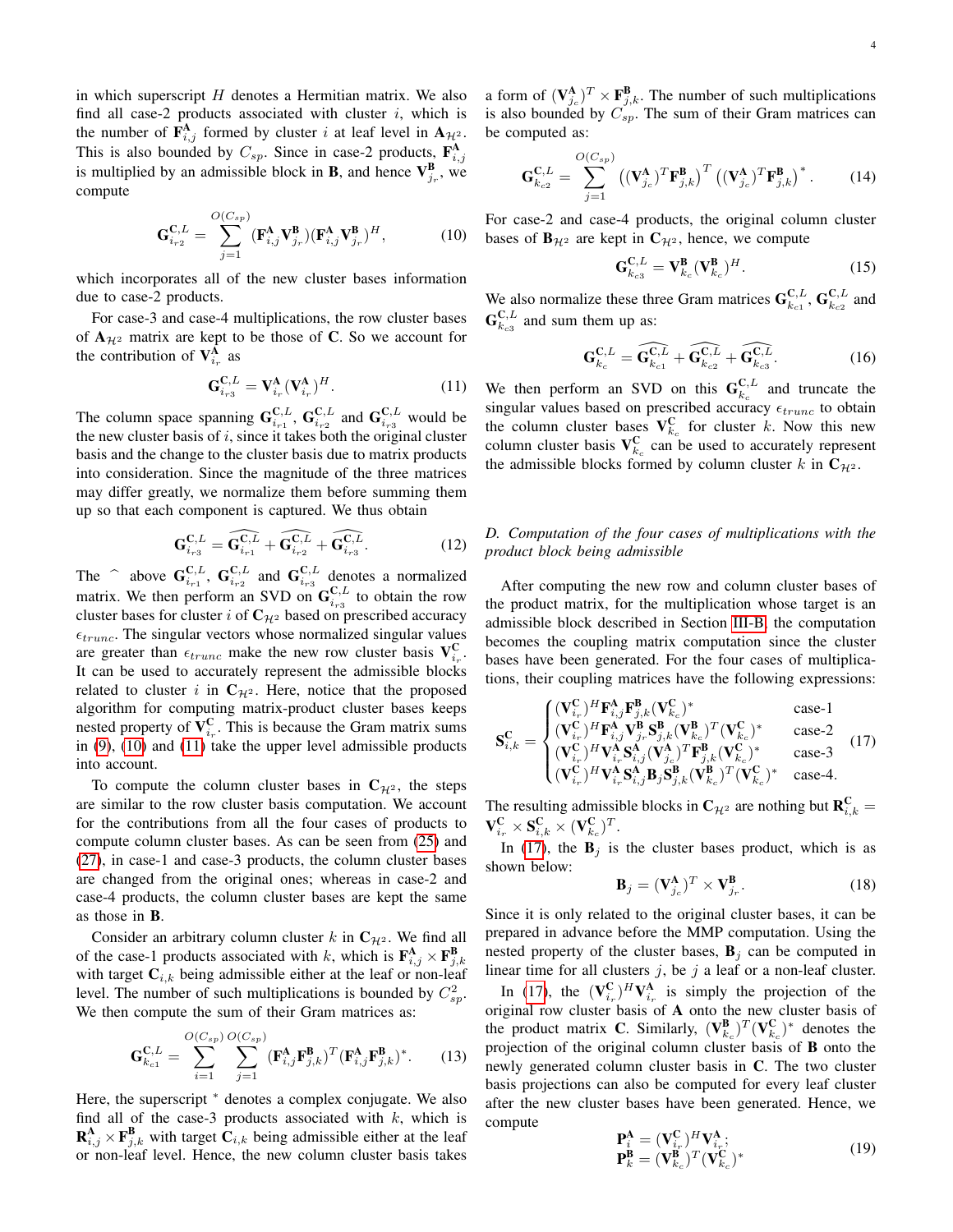in which superscript  $H$  denotes a Hermitian matrix. We also find all case-2 products associated with cluster  $i$ , which is the number of  $\mathbf{F}_{i,j}^{\mathbf{A}}$  formed by cluster i at leaf level in  $\mathbf{A}_{\mathcal{H}^2}$ . This is also bounded by  $C_{sp}$ . Since in case-2 products,  $\mathbf{F}_{i,j}^{\mathbf{A}}$ is multiplied by an admissible block in **B**, and hence  $V_{j_r}^B$ , we compute

<span id="page-3-0"></span>
$$
\mathbf{G}_{i_{r2}}^{\mathbf{C},L} = \sum_{j=1}^{O(C_{sp})} (\mathbf{F}_{i,j}^{\mathbf{A}} \mathbf{V}_{j_{r}}^{\mathbf{B}}) (\mathbf{F}_{i,j}^{\mathbf{A}} \mathbf{V}_{j_{r}}^{\mathbf{B}})^{H}, \qquad (10)
$$

which incorporates all of the new cluster bases information due to case-2 products.

For case-3 and case-4 multiplications, the row cluster bases of  $A_{H^2}$  matrix are kept to be those of C. So we account for the contribution of  $V_{i_r}^A$  as

<span id="page-3-1"></span>
$$
\mathbf{G}_{i_{r3}}^{\mathbf{C},L} = \mathbf{V}_{i_r}^{\mathbf{A}} (\mathbf{V}_{i_r}^{\mathbf{A}})^H.
$$
 (11)

The column space spanning  $G_{i_{r1}}^{C,L}$ ,  $G_{i_{r2}}^{C,L}$  and  $G_{i_{r3}}^{C,L}$  would be the new cluster basis of  $i$ , since it takes both the original cluster basis and the change to the cluster basis due to matrix products into consideration. Since the magnitude of the three matrices may differ greatly, we normalize them before summing them up so that each component is captured. We thus obtain

$$
\mathbf{G}_{i_{r3}}^{\mathbf{C},L} = \widehat{\mathbf{G}_{i_{r1}}^{\mathbf{C},L}} + \widehat{\mathbf{G}_{i_{r2}}^{\mathbf{C},L}} + \widehat{\mathbf{G}_{i_{r3}}^{\mathbf{C},L}}.
$$
 (12)

The  $\bigcap_{i=1}^{\infty}$  above  $\mathbf{G}^{\mathbf{C},L}_{i}$ ,  $\mathbf{G}^{\mathbf{C},L}_{i}$  and  $\mathbf{G}^{\mathbf{C},L}_{i}$  denotes a normalized matrix. We then perform an SVD on  $\mathbf{G}_{i_{r3}}^{\mathbf{C},L}$  to obtain the row cluster bases for cluster i of  $C_{\mathcal{H}^2}$  based on prescribed accuracy  $\epsilon_{trunc}$ . The singular vectors whose normalized singular values are greater than  $\epsilon_{trunc}$  make the new row cluster basis  $V_{i_r}^C$ . It can be used to accurately represent the admissible blocks related to cluster i in  $C_{\mathcal{H}^2}$ . Here, notice that the proposed algorithm for computing matrix-product cluster bases keeps nested property of  $V_{i_r}^C$ . This is because the Gram matrix sums in [\(9\)](#page-2-1), [\(10\)](#page-3-0) and [\(11\)](#page-3-1) take the upper level admissible products into account.

To compute the column cluster bases in  $C_{\mathcal{H}^2}$ , the steps are similar to the row cluster basis computation. We account for the contributions from all the four cases of products to compute column cluster bases. As can be seen from [\(25\)](#page-5-0) and [\(27\)](#page-5-1), in case-1 and case-3 products, the column cluster bases are changed from the original ones; whereas in case-2 and case-4 products, the column cluster bases are kept the same as those in B.

Consider an arbitrary column cluster k in  $C_{\mathcal{H}^2}$ . We find all of the case-1 products associated with k, which is  $\mathbf{F}_{i,j}^{\mathbf{A}} \times \mathbf{F}_{j,k}^{\mathbf{B}}$ with target  $C_{i,k}$  being admissible either at the leaf or non-leaf level. The number of such multiplications is bounded by  $C_{sp}^2$ . We then compute the sum of their Gram matrices as:

<span id="page-3-4"></span>
$$
\mathbf{G}_{k_{c1}}^{\mathbf{C},L} = \sum_{i=1}^{O(C_{sp})} \sum_{j=1}^{O(C_{sp})} (\mathbf{F}_{i,j}^{\mathbf{A}} \mathbf{F}_{j,k}^{\mathbf{B}})^{T} (\mathbf{F}_{i,j}^{\mathbf{A}} \mathbf{F}_{j,k}^{\mathbf{B}})^{*}.
$$
 (13)

Here, the superscript  $*$  denotes a complex conjugate. We also find all of the case-3 products associated with  $k$ , which is  $\mathbf{R}_{i,j}^{\mathbf{A}} \times \mathbf{F}_{j,k}^{\mathbf{B}}$  with target  $\mathbf{C}_{i,k}$  being admissible either at the leaf or non-leaf level. Hence, the new column cluster basis takes

a form of  $(\mathbf{V}_{j_c}^{\mathbf{A}})^T \times \mathbf{F}_{j,k}^{\mathbf{B}}$ . The number of such multiplications is also bounded by  $C_{sp}$ . The sum of their Gram matrices can be computed as:

<span id="page-3-5"></span>
$$
\mathbf{G}_{k_{c2}}^{\mathbf{C},L} = \sum_{j=1}^{O(C_{sp})} \left( (\mathbf{V}_{j_c}^{\mathbf{A}})^T \mathbf{F}_{j,k}^{\mathbf{B}} \right)^T \left( (\mathbf{V}_{j_c}^{\mathbf{A}})^T \mathbf{F}_{j,k}^{\mathbf{B}} \right)^*.
$$
 (14)

For case-2 and case-4 products, the original column cluster bases of  $\mathbf{B}_{H^2}$  are kept in  $\mathbf{C}_{H^2}$ , hence, we compute

<span id="page-3-6"></span>
$$
\mathbf{G}_{k_{c3}}^{\mathbf{C},L} = \mathbf{V}_{k_c}^{\mathbf{B}} (\mathbf{V}_{k_c}^{\mathbf{B}})^H.
$$
 (15)

We also normalize these three Gram matrices  $\mathbf{G}_{k_{c1}}^{\mathbf{C},L}, \mathbf{G}_{k_{c2}}^{\mathbf{C},L}$  and  $\mathbf{G}^{\mathbf{C},L}_{k_{c3}}$  and sum them up as:

$$
\mathbf{G}_{k_c}^{\mathbf{C},L} = \widehat{\mathbf{G}_{k_{c1}}^{\mathbf{C},L}} + \widehat{\mathbf{G}_{k_{c2}}^{\mathbf{C},L}} + \widehat{\mathbf{G}_{k_{c3}}^{\mathbf{C},L}}.
$$
 (16)

We then perform an SVD on this  $\mathbf{G}_{k_c}^{\mathbf{C},L}$  and truncate the singular values based on prescribed accuracy  $\epsilon_{trunc}$  to obtain the column cluster bases  $V_{k_c}^C$  for cluster k. Now this new column cluster basis  $V_{k_c}^C$  can be used to accurately represent the admissible blocks formed by column cluster k in  $C_{\mathcal{H}^2}$ .

## *D. Computation of the four cases of multiplications with the product block being admissible*

After computing the new row and column cluster bases of the product matrix, for the multiplication whose target is an admissible block described in Section [III-B,](#page-2-2) the computation becomes the coupling matrix computation since the cluster bases have been generated. For the four cases of multiplications, their coupling matrices have the following expressions:

<span id="page-3-2"></span>
$$
\mathbf{S}_{i,k}^{\mathbf{C}} = \begin{cases}\n(\mathbf{V}_{i_r}^{\mathbf{C}})^H \mathbf{F}_{i,j}^{\mathbf{A}} \mathbf{F}_{j,k}^{\mathbf{B}} (\mathbf{V}_{k_c}^{\mathbf{C}})^* & \text{case-1} \\
(\mathbf{V}_{i_r}^{\mathbf{C}})^H \mathbf{F}_{i,j}^{\mathbf{A}} \mathbf{V}_{j_r}^{\mathbf{B}} \mathbf{S}_{j,k}^{\mathbf{B}} (\mathbf{V}_{k_c}^{\mathbf{B}})^T (\mathbf{V}_{k_c}^{\mathbf{C}})^* & \text{case-2} \\
(\mathbf{V}_{i_r}^{\mathbf{C}})^H \mathbf{V}_{i_r}^{\mathbf{A}} \mathbf{S}_{i,j}^{\mathbf{A}} (\mathbf{V}_{j_c}^{\mathbf{A}})^T \mathbf{F}_{j,k}^{\mathbf{B}} (\mathbf{V}_{k_c}^{\mathbf{C}})^* & \text{case-3} \\
(\mathbf{V}_{i_r}^{\mathbf{C}})^H \mathbf{V}_{i_r}^{\mathbf{A}} \mathbf{S}_{i,j}^{\mathbf{A}} \mathbf{B}_{j} \mathbf{S}_{j,k}^{\mathbf{B}} (\mathbf{V}_{k_c}^{\mathbf{B}})^T (\mathbf{V}_{k_c}^{\mathbf{C}})^* & \text{case-4}.\n\end{cases}
$$
\n(17)

The resulting admissible blocks in  $\mathbf{C}_{\mathcal{H}^2}$  are nothing but  $\mathbf{R}_{i,k}^{\mathbf{C}} =$  $\mathbf{V}_{i_r}^{\mathbf{C}} \times \mathbf{S}_{i,k}^{\mathbf{C}} \times (\mathbf{V}_{k_c}^{\mathbf{C}})^T.$ 

In [\(17\)](#page-3-2), the  $B_i$  is the cluster bases product, which is as shown below:

$$
\mathbf{B}_{j} = (\mathbf{V}_{j_c}^{\mathbf{A}})^{T} \times \mathbf{V}_{j_r}^{\mathbf{B}}.
$$
 (18)

Since it is only related to the original cluster bases, it can be prepared in advance before the MMP computation. Using the nested property of the cluster bases,  $\mathbf{B}_j$  can be computed in linear time for all clusters  $j$ , be  $j$  a leaf or a non-leaf cluster.

In [\(17\)](#page-3-2), the  $(\mathbf{V}_{i_r}^{\mathbf{C}})^H \mathbf{V}_{i_r}^{\mathbf{A}}$  is simply the projection of the original row cluster basis of A onto the new cluster basis of the product matrix **C**. Similarly,  $(\mathbf{V}_{k_c}^{\mathbf{B}})^T (\mathbf{V}_{k_c}^{\mathbf{C}})^*$  denotes the projection of the original column cluster basis of B onto the newly generated column cluster basis in C. The two cluster basis projections can also be computed for every leaf cluster after the new cluster bases have been generated. Hence, we compute

<span id="page-3-3"></span>
$$
\mathbf{P}_i^{\mathbf{A}} = (\mathbf{V}_{i_r}^{\mathbf{C}})^H \mathbf{V}_{i_r}^{\mathbf{A}};
$$
  
\n
$$
\mathbf{P}_k^{\mathbf{B}} = (\mathbf{V}_{k_c}^{\mathbf{B}})^T (\mathbf{V}_{k_c}^{\mathbf{C}})^*
$$
\n(19)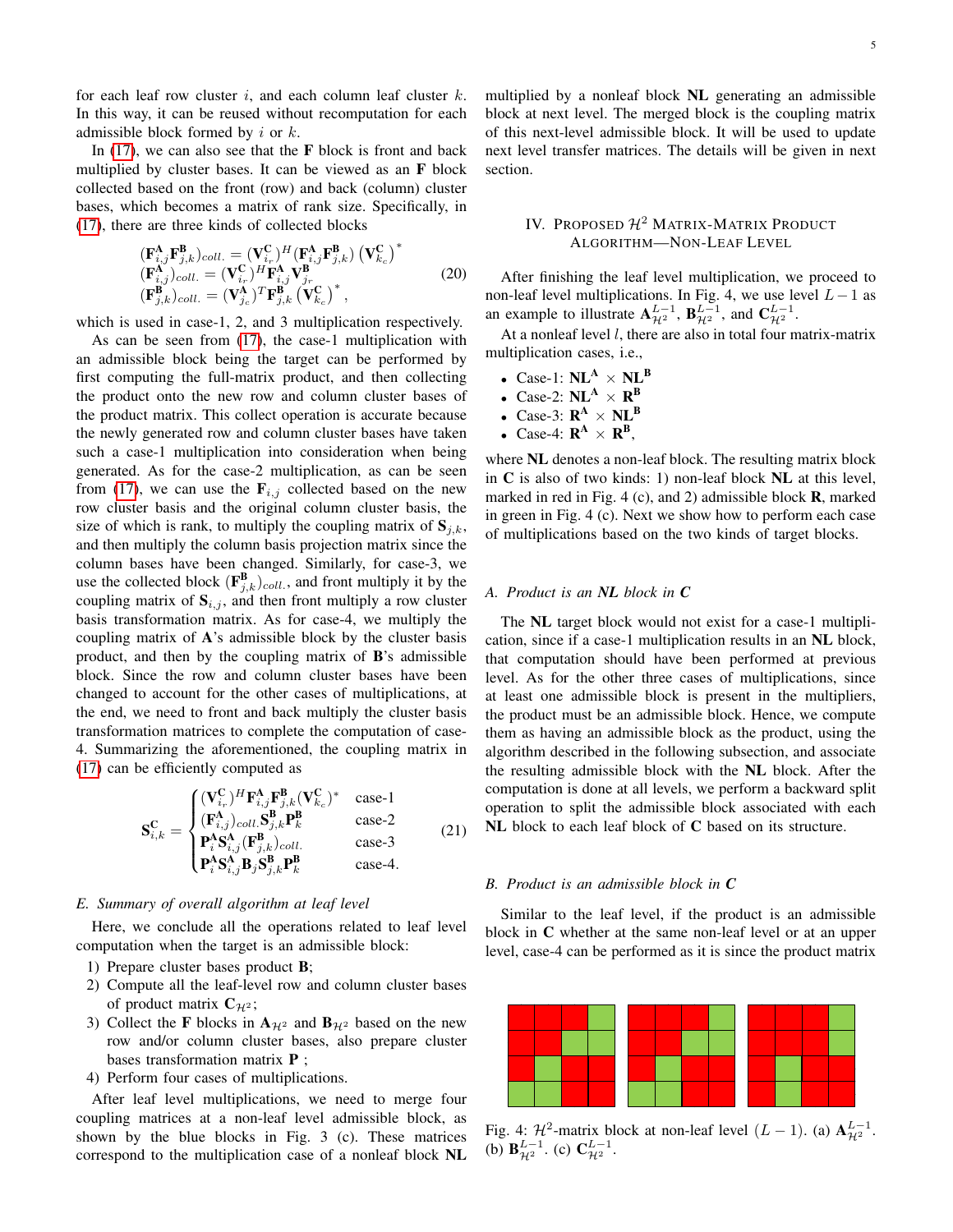for each leaf row cluster  $i$ , and each column leaf cluster  $k$ . In this way, it can be reused without recomputation for each

admissible block formed by  $i$  or  $k$ . In  $(17)$ , we can also see that the **F** block is front and back multiplied by cluster bases. It can be viewed as an F block collected based on the front (row) and back (column) cluster bases, which becomes a matrix of rank size. Specifically, in [\(17\)](#page-3-2), there are three kinds of collected blocks

<span id="page-4-0"></span>
$$
\begin{array}{l}\n(\mathbf{F}_{i,j}^{\mathbf{A}}\mathbf{F}_{j,k}^{\mathbf{B}})_{coll.} = (\mathbf{V}_{i_r}^{\mathbf{C}})^{H}(\mathbf{F}_{i,j}^{\mathbf{A}}\mathbf{F}_{j,k}^{\mathbf{B}}) (\mathbf{V}_{k_c}^{\mathbf{C}})^{*} \\
(\mathbf{F}_{i,j}^{\mathbf{A}})_{coll.} = (\mathbf{V}_{i_r}^{\mathbf{C}})^{H}\mathbf{F}_{i,j}^{\mathbf{A}}\mathbf{V}_{j_r}^{\mathbf{B}} \\
(\mathbf{F}_{j,k}^{\mathbf{B}})_{coll.} = (\mathbf{V}_{j_c}^{\mathbf{A}})^{T}\mathbf{F}_{j,k}^{\mathbf{B}} (\mathbf{V}_{k_c}^{\mathbf{C}})^{*}\n\end{array} \tag{20}
$$

which is used in case-1, 2, and 3 multiplication respectively.

As can be seen from [\(17\)](#page-3-2), the case-1 multiplication with an admissible block being the target can be performed by first computing the full-matrix product, and then collecting the product onto the new row and column cluster bases of the product matrix. This collect operation is accurate because the newly generated row and column cluster bases have taken such a case-1 multiplication into consideration when being generated. As for the case-2 multiplication, as can be seen from [\(17\)](#page-3-2), we can use the  $\mathbf{F}_{i,j}$  collected based on the new row cluster basis and the original column cluster basis, the size of which is rank, to multiply the coupling matrix of  $S_{i,k}$ , and then multiply the column basis projection matrix since the column bases have been changed. Similarly, for case-3, we use the collected block  $(\mathbf{F}_{j,k}^{\mathbf{B}})_{coll.}$ , and front multiply it by the coupling matrix of  $S_{i,j}$ , and then front multiply a row cluster basis transformation matrix. As for case-4, we multiply the coupling matrix of A's admissible block by the cluster basis product, and then by the coupling matrix of B's admissible block. Since the row and column cluster bases have been changed to account for the other cases of multiplications, at the end, we need to front and back multiply the cluster basis transformation matrices to complete the computation of case-4. Summarizing the aforementioned, the coupling matrix in [\(17\)](#page-3-2) can be efficiently computed as

<span id="page-4-2"></span>
$$
\mathbf{S}_{i,k}^{\mathbf{C}} = \begin{cases} (\mathbf{V}_{i_r}^{\mathbf{C}})^H \mathbf{F}_{i,j}^{\mathbf{A}} \mathbf{F}_{j,k}^{\mathbf{B}} (\mathbf{V}_{k_c}^{\mathbf{C}})^* & \text{case-1} \\ (\mathbf{F}_{i,j}^{\mathbf{A}})_{coll} \mathbf{S}_{j,k}^{\mathbf{B}} \mathbf{P}_{k}^{\mathbf{B}} & \text{case-2} \\ \mathbf{P}_{i}^{\mathbf{A}} \mathbf{S}_{i,j}^{\mathbf{A}} (\mathbf{F}_{j,k}^{\mathbf{B}})_{coll.} & \text{case-3} \\ \mathbf{P}_{i}^{\mathbf{A}} \mathbf{S}_{i,j}^{\mathbf{A}} \mathbf{B}_{j} \mathbf{S}_{j,k}^{\mathbf{B}} \mathbf{P}_{k}^{\mathbf{B}} & \text{case-4.} \end{cases}
$$
(21)

#### *E. Summary of overall algorithm at leaf level*

Here, we conclude all the operations related to leaf level computation when the target is an admissible block:

- 1) Prepare cluster bases product B;
- 2) Compute all the leaf-level row and column cluster bases of product matrix  $C_{\mathcal{H}^2}$ ;
- 3) Collect the **F** blocks in  $A_{\mathcal{H}^2}$  and  $B_{\mathcal{H}^2}$  based on the new row and/or column cluster bases, also prepare cluster bases transformation matrix P ;
- 4) Perform four cases of multiplications.

After leaf level multiplications, we need to merge four coupling matrices at a non-leaf level admissible block, as shown by the blue blocks in Fig. 3 (c). These matrices correspond to the multiplication case of a nonleaf block NL

multiplied by a nonleaf block NL generating an admissible block at next level. The merged block is the coupling matrix of this next-level admissible block. It will be used to update next level transfer matrices. The details will be given in next section.

# IV. PROPOSED  $\mathcal{H}^2$  MATRIX-MATRIX PRODUCT ALGORITHM—NON-LEAF LEVEL

After finishing the leaf level multiplication, we proceed to non-leaf level multiplications. In Fig. 4, we use level  $L-1$  as an example to illustrate  $\mathbf{A}_{\mathcal{H}^2}^{L-1}$ ,  $\mathbf{B}_{\mathcal{H}^2}^{L-1}$ , and  $\mathbf{C}_{\mathcal{H}^2}^{L-1}$ .

At a nonleaf level  $l$ , there are also in total four matrix-matrix multiplication cases, i.e.,

- Case-1:  $NL^A \times NL^B$
- Case-2:  $NL^A \times R^B$
- Case-3:  $\mathbf{R}^{\mathbf{A}} \times \mathbf{NL}^{\mathbf{B}}$
- Case-4:  $\mathbf{R}^{\mathbf{A}} \times \mathbf{R}^{\mathbf{B}}$

where NL denotes a non-leaf block. The resulting matrix block in C is also of two kinds: 1) non-leaf block NL at this level, marked in red in Fig. 4 (c), and 2) admissible block **, marked** in green in Fig. 4 (c). Next we show how to perform each case of multiplications based on the two kinds of target blocks.

,

## <span id="page-4-1"></span>*A. Product is an NL block in C*

The NL target block would not exist for a case-1 multiplication, since if a case-1 multiplication results in an NL block, that computation should have been performed at previous level. As for the other three cases of multiplications, since at least one admissible block is present in the multipliers, the product must be an admissible block. Hence, we compute them as having an admissible block as the product, using the algorithm described in the following subsection, and associate the resulting admissible block with the NL block. After the computation is done at all levels, we perform a backward split operation to split the admissible block associated with each NL block to each leaf block of C based on its structure.

## *B. Product is an admissible block in C*

Similar to the leaf level, if the product is an admissible block in C whether at the same non-leaf level or at an upper level, case-4 can be performed as it is since the product matrix



Fig. 4:  $\mathcal{H}^2$ -matrix block at non-leaf level  $(L-1)$ . (a)  $\mathbf{A}_{\mathcal{H}^2}^{L-1}$ . (b)  $\mathbf{B}_{\mathcal{H}^2}^{L-1}$ . (c)  $\mathbf{C}_{\mathcal{H}^2}^{L-1}$ .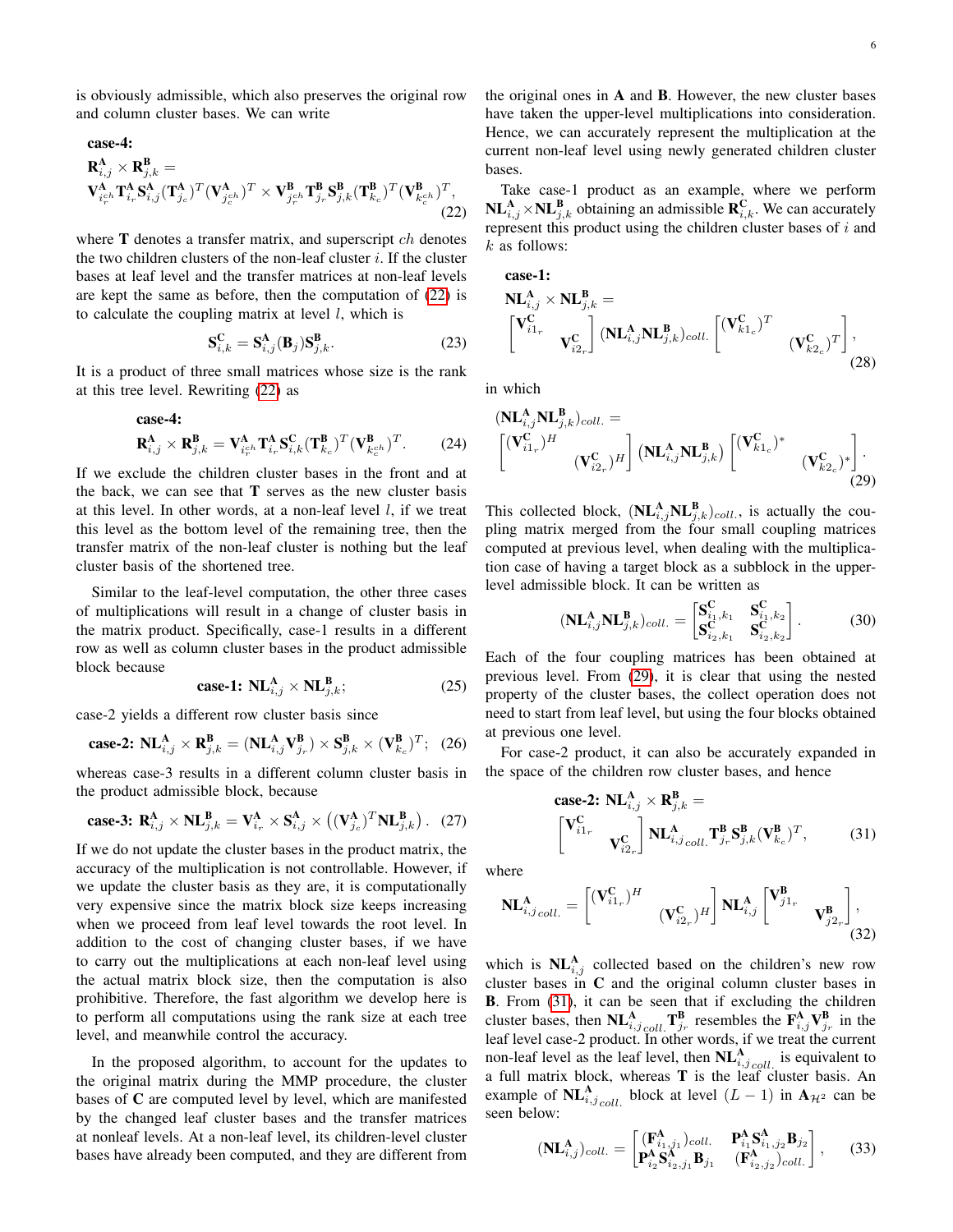is obviously admissible, which also preserves the original row and column cluster bases. We can write

case-4:

$$
\mathbf{R}_{i,j}^{\mathbf{A}} \times \mathbf{R}_{j,k}^{\mathbf{B}} = \n\mathbf{V}_{i_r^c}^{\mathbf{A}} \mathbf{T}_{i_r}^{\mathbf{A}} \mathbf{S}_{i,j}^{\mathbf{A}} (\mathbf{T}_{j_c}^{\mathbf{A}})^T (\mathbf{V}_{j_c^c}^{\mathbf{A}})^T \times \mathbf{V}_{j_r^c}^{\mathbf{B}} \mathbf{T}_{j_r}^{\mathbf{B}} \mathbf{S}_{j,k}^{\mathbf{B}} (\mathbf{T}_{k_c}^{\mathbf{B}})^T (\mathbf{V}_{k_c^c}^{\mathbf{B}})^T, \tag{22}
$$

where  **denotes a transfer matrix, and superscript**  $ch$  **denotes** the two children clusters of the non-leaf cluster  $i$ . If the cluster bases at leaf level and the transfer matrices at non-leaf levels are kept the same as before, then the computation of [\(22\)](#page-5-2) is to calculate the coupling matrix at level  $l$ , which is

$$
\mathbf{S}_{i,k}^{\mathbf{C}} = \mathbf{S}_{i,j}^{\mathbf{A}}(\mathbf{B}_j)\mathbf{S}_{j,k}^{\mathbf{B}}.
$$
 (23)

It is a product of three small matrices whose size is the rank at this tree level. Rewriting [\(22\)](#page-5-2) as

$$
\mathbf{R}_{i,j}^{\mathbf{A}} \times \mathbf{R}_{j,k}^{\mathbf{B}} = \mathbf{V}_{i_{r}^{c}}^{\mathbf{A}} \mathbf{T}_{i_{r}}^{\mathbf{A}} \mathbf{S}_{i,k}^{\mathbf{C}} (\mathbf{T}_{k_{c}}^{\mathbf{B}})^{T} (\mathbf{V}_{k_{c}^{c}}^{\mathbf{B}})^{T}.
$$
 (24)

If we exclude the children cluster bases in the front and at the back, we can see that  $T$  serves as the new cluster basis at this level. In other words, at a non-leaf level  $l$ , if we treat this level as the bottom level of the remaining tree, then the transfer matrix of the non-leaf cluster is nothing but the leaf cluster basis of the shortened tree.

Similar to the leaf-level computation, the other three cases of multiplications will result in a change of cluster basis in the matrix product. Specifically, case-1 results in a different row as well as column cluster bases in the product admissible block because

<span id="page-5-0"></span>
$$
\textbf{case-1:} \ \mathbf{NL}_{i,j}^{\mathbf{A}} \times \mathbf{NL}_{j,k}^{\mathbf{B}}; \tag{25}
$$

case-2 yields a different row cluster basis since

$$
\text{case-2: } \mathbf{NL}_{i,j}^{\mathbf{A}} \times \mathbf{R}_{j,k}^{\mathbf{B}} = (\mathbf{NL}_{i,j}^{\mathbf{A}} \mathbf{V}_{j_r}^{\mathbf{B}}) \times \mathbf{S}_{j,k}^{\mathbf{B}} \times (\mathbf{V}_{k_c}^{\mathbf{B}})^T; \tag{26}
$$

whereas case-3 results in a different column cluster basis in the product admissible block, because

<span id="page-5-1"></span>**case-3:** 
$$
\mathbf{R}_{i,j}^{\mathbf{A}} \times \mathbf{NL}_{j,k}^{\mathbf{B}} = \mathbf{V}_{i_r}^{\mathbf{A}} \times \mathbf{S}_{i,j}^{\mathbf{A}} \times \left( (\mathbf{V}_{j_c}^{\mathbf{A}})^T \mathbf{NL}_{j,k}^{\mathbf{B}} \right).
$$
 (27)

If we do not update the cluster bases in the product matrix, the accuracy of the multiplication is not controllable. However, if we update the cluster basis as they are, it is computationally very expensive since the matrix block size keeps increasing when we proceed from leaf level towards the root level. In addition to the cost of changing cluster bases, if we have to carry out the multiplications at each non-leaf level using the actual matrix block size, then the computation is also prohibitive. Therefore, the fast algorithm we develop here is to perform all computations using the rank size at each tree level, and meanwhile control the accuracy.

In the proposed algorithm, to account for the updates to the original matrix during the MMP procedure, the cluster bases of C are computed level by level, which are manifested by the changed leaf cluster bases and the transfer matrices at nonleaf levels. At a non-leaf level, its children-level cluster bases have already been computed, and they are different from the original ones in A and B. However, the new cluster bases have taken the upper-level multiplications into consideration. Hence, we can accurately represent the multiplication at the current non-leaf level using newly generated children cluster bases.

<span id="page-5-2"></span>Take case-1 product as an example, where we perform  $\mathbf{NL}_{i,j}^{\mathbf{A}} \times \mathbf{NL}_{j,k}^{\mathbf{B}}$  obtaining an admissible  $\mathbf{R}_{i,k}^{\mathbf{C}}$ . We can accurately represent this product using the children cluster bases of  $i$  and  $k$  as follows:

case-1:  
\n
$$
\mathbf{NL}_{i,j}^{\mathbf{A}} \times \mathbf{NL}_{j,k}^{\mathbf{B}} = \begin{bmatrix}\n\mathbf{V}_{i1_r}^{\mathbf{C}} & \mathbf{V}_{i2_r}^{\mathbf{C}}\n\end{bmatrix} (\mathbf{NL}_{i,j}^{\mathbf{A}} \mathbf{NL}_{j,k}^{\mathbf{B}})_{coll.} \begin{bmatrix}\n(\mathbf{V}_{k1_c}^{\mathbf{C}})^T & \mathbf{V}_{k2_c}^{\mathbf{C}}\n\end{bmatrix},
$$
\n(28)

in which

$$
\begin{aligned}\n&\left(\mathbf{NL}_{i,j}^{\mathbf{A}}\mathbf{NL}_{j,k}^{\mathbf{B}}\right)_{coll.} = \\
&\begin{bmatrix}\n&\left(\mathbf{V}_{i1_r}^{\mathbf{C}}\right)^H \\
&&\left(\mathbf{V}_{i2_r}^{\mathbf{C}}\right)^H\n\end{bmatrix}\n\left(\mathbf{NL}_{i,j}^{\mathbf{A}}\mathbf{NL}_{j,k}^{\mathbf{B}}\right)\n\begin{bmatrix}\n&\left(\mathbf{V}_{k1_c}^{\mathbf{C}}\right)^* \\
&&\left(\mathbf{V}_{k2_c}^{\mathbf{C}}\right)^*\n\end{bmatrix}.\n\end{aligned} \tag{29}
$$

This collected block,  $(\mathbf{NL}_{i,j}^{\mathbf{A}}\mathbf{NL}_{j,k}^{\mathbf{B}})_{coll.}$ , is actually the coupling matrix merged from the four small coupling matrices computed at previous level, when dealing with the multiplication case of having a target block as a subblock in the upperlevel admissible block. It can be written as

<span id="page-5-3"></span>
$$
(\mathbf{NL}_{i,j}^{\mathbf{A}} \mathbf{NL}_{j,k}^{\mathbf{B}})_{coll.} = \begin{bmatrix} \mathbf{S}_{i_1,k_1}^{\mathbf{C}} & \mathbf{S}_{i_1,k_2}^{\mathbf{C}} \\ \mathbf{S}_{i_2,k_1}^{\mathbf{C}} & \mathbf{S}_{i_2,k_2}^{\mathbf{C}} \end{bmatrix} . \tag{30}
$$

Each of the four coupling matrices has been obtained at previous level. From [\(29\)](#page-5-3), it is clear that using the nested property of the cluster bases, the collect operation does not need to start from leaf level, but using the four blocks obtained at previous one level.

For case-2 product, it can also be accurately expanded in the space of the children row cluster bases, and hence

<span id="page-5-5"></span><span id="page-5-4"></span>
$$
\text{case-2: } \mathbf{NL}_{i,j}^{\mathbf{A}} \times \mathbf{R}_{j,k}^{\mathbf{B}} = \left[ \mathbf{V}_{i1_r}^{\mathbf{C}} \mathbf{V}_{i2_r}^{\mathbf{C}} \right] \mathbf{NL}_{i,j\,coll.}^{\mathbf{A}} \mathbf{T}_{j_r}^{\mathbf{B}} \mathbf{S}_{j,k}^{\mathbf{B}} (\mathbf{V}_{k_c}^{\mathbf{B}})^{T}, \tag{31}
$$

where

$$
\mathbf{NL}_{i,j\,coll.}^{\mathbf{A}} = \begin{bmatrix} (\mathbf{V}_{i1_r}^{\mathbf{C}})^H & & \\ & (\mathbf{V}_{i2_r}^{\mathbf{C}})^H \end{bmatrix} \mathbf{NL}_{i,j}^{\mathbf{A}} \begin{bmatrix} \mathbf{V}_{j1_r}^{\mathbf{B}} & \\ & \mathbf{V}_{j2_r}^{\mathbf{B}} \end{bmatrix},
$$
\n(32)

which is  $\text{NL}_{i,j}^{\text{A}}$  collected based on the children's new row cluster bases in C and the original column cluster bases in B. From [\(31\)](#page-5-4), it can be seen that if excluding the children cluster bases, then  $\text{NL}^{\text{A}}_{i,j}\text{ }_{coll}$   $\text{T}^{\text{B}}_{j_r}$  resembles the  $\text{ }F^{\text{A}}_{i,j}\text{ }V^{\text{B}}_{j_r}$  in the leaf level case-2 product. In other words, if we treat the current non-leaf level as the leaf level, then  $\text{NL}^{\text{A}}_{i,j \text{ cell}}$  is equivalent to a full matrix block, whereas T is the leaf cluster basis. An example of  $\mathbf{NL}_{i,j}\mathbf{A}_{coll.}$  block at level  $(L-1)$  in  $\mathbf{A}_{\mathcal{H}^2}$  can be seen below:

$$
(\mathbf{NL}_{i,j}^{\mathbf{A}})_{coll.} = \begin{bmatrix} (\mathbf{F}_{i_1,j_1}^{\mathbf{A}})_{coll.} & \mathbf{P}_{i_1}^{\mathbf{A}} \mathbf{S}_{i_1,j_2}^{\mathbf{A}} \mathbf{B}_{j_2} \\ \mathbf{P}_{i_2}^{\mathbf{A}} \mathbf{S}_{i_2,j_1}^{\mathbf{A}} \mathbf{B}_{j_1} & (\mathbf{F}_{i_2,j_2}^{\mathbf{A}})_{coll.} \end{bmatrix},
$$
(33)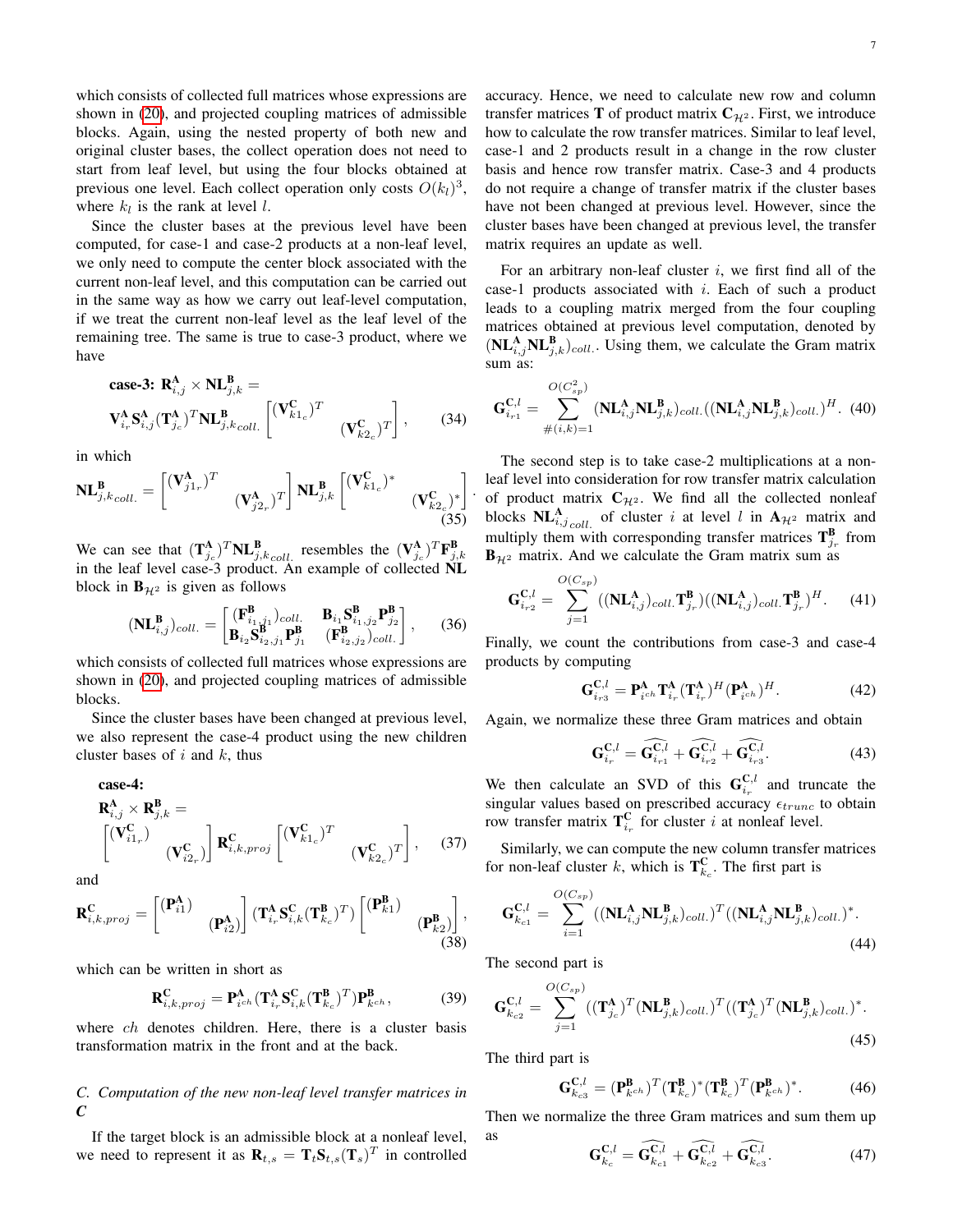which consists of collected full matrices whose expressions are shown in [\(20\)](#page-4-0), and projected coupling matrices of admissible blocks. Again, using the nested property of both new and original cluster bases, the collect operation does not need to start from leaf level, but using the four blocks obtained at previous one level. Each collect operation only costs  $O(k_l)^3$ , where  $k_l$  is the rank at level l.

Since the cluster bases at the previous level have been computed, for case-1 and case-2 products at a non-leaf level, we only need to compute the center block associated with the current non-leaf level, and this computation can be carried out in the same way as how we carry out leaf-level computation, if we treat the current non-leaf level as the leaf level of the remaining tree. The same is true to case-3 product, where we have

$$
\text{case-3: } \mathbf{R}_{i,j}^{\mathbf{A}} \times \mathbf{NL}_{j,k}^{\mathbf{B}} = \n\mathbf{V}_{i,r}^{\mathbf{A}} \mathbf{S}_{i,j}^{\mathbf{A}} (\mathbf{T}_{j_c}^{\mathbf{A}})^T \mathbf{NL}_{j,k\,coll.}^{\mathbf{B}} \begin{bmatrix} (\mathbf{V}_{k1_c}^{\mathbf{C}})^T & (\mathbf{V}_{k2_c}^{\mathbf{C}})^T \end{bmatrix}, \qquad (34)
$$

in which

$$
\mathbf{NL}_{j,k\,coll.}^{\mathbf{B}} = \begin{bmatrix} (\mathbf{V}_{j1_r}^{\mathbf{A}})^T & & \\ & (\mathbf{V}_{j2_r}^{\mathbf{A}})^T \end{bmatrix} \mathbf{NL}_{j,k}^{\mathbf{B}} \begin{bmatrix} (\mathbf{V}_{k1_c}^{\mathbf{C}})^* & & \\ & (\mathbf{V}_{k2_c}^{\mathbf{C}})^* \end{bmatrix}
$$
(35)

We can see that  $(\mathbf{T}_{j_c}^{\mathbf{A}})^T \mathbf{NL}_{j,k_coll}^{\mathbf{B}}$  resembles the  $(\mathbf{V}_{j_c}^{\mathbf{A}})^T \mathbf{F}_{j,k}^{\mathbf{B}}$ <br>in the leaf level case-3 product. An example of collected **NL** block in  $\mathbf{B}_{\mathcal{H}^2}$  is given as follows

$$
(\mathbf{NL}_{i,j}^{\mathbf{B}})_{coll.} = \begin{bmatrix} (\mathbf{F}_{i_1,j_1}^{\mathbf{B}})_{coll.} & \mathbf{B}_{i_1} \mathbf{S}_{i_1,j_2}^{\mathbf{B}} \mathbf{P}_{j_2}^{\mathbf{B}} \\ \mathbf{B}_{i_2} \mathbf{S}_{i_2,j_1}^{\mathbf{B}} \mathbf{P}_{j_1}^{\mathbf{B}} & (\mathbf{F}_{i_2,j_2}^{\mathbf{B}})_{coll.} \end{bmatrix}, \quad (36)
$$

which consists of collected full matrices whose expressions are shown in [\(20\)](#page-4-0), and projected coupling matrices of admissible blocks.

Since the cluster bases have been changed at previous level, we also represent the case-4 product using the new children cluster bases of  $i$  and  $k$ , thus

$$
\begin{aligned}\n\textbf{case-4:} \\
\mathbf{R}^{\mathbf{A}}_{i,j} \times \mathbf{R}^{\mathbf{B}}_{j,k} &= \\
\begin{bmatrix}\n(\mathbf{V}_{i1_r}^{\mathbf{C}}) & \\
(\mathbf{V}_{i2_r}^{\mathbf{C}})\n\end{bmatrix}\n\mathbf{R}^{\mathbf{C}}_{i,k,proj}\n\begin{bmatrix}\n(\mathbf{V}_{k1_c}^{\mathbf{C}})^{T} & \\
(\mathbf{V}_{k2_c}^{\mathbf{C}})^{T}\n\end{bmatrix},\n\end{aligned} \tag{37}
$$

and

$$
\mathbf{R}_{i,k,proj}^{\mathbf{C}} = \begin{bmatrix} (\mathbf{P}_{i1}^{\mathbf{A}}) & \ & (\mathbf{P}_{i2}^{\mathbf{A}}) \end{bmatrix} (\mathbf{T}_{i_r}^{\mathbf{A}} \mathbf{S}_{i,k}^{\mathbf{C}} (\mathbf{T}_{k_c}^{\mathbf{B}})^{T}) \begin{bmatrix} (\mathbf{P}_{k1}^{\mathbf{B}}) & \ & (\mathbf{P}_{k2}^{\mathbf{B}}) \end{bmatrix},
$$
\n(38)

which can be written in short as

$$
\mathbf{R}_{i,k,proj}^{\mathbf{C}} = \mathbf{P}_{i^{ch}}^{\mathbf{A}} (\mathbf{T}_{i_{r}}^{\mathbf{A}} \mathbf{S}_{i,k}^{\mathbf{C}} (\mathbf{T}_{k_{c}}^{\mathbf{B}})^{T}) \mathbf{P}_{k^{ch}}^{\mathbf{B}},
$$
(39)

where *ch* denotes children. Here, there is a cluster basis transformation matrix in the front and at the back.

## *C. Computation of the new non-leaf level transfer matrices in C*

If the target block is an admissible block at a nonleaf level, we need to represent it as  $\mathbf{R}_{t,s} = \mathbf{T}_t \mathbf{S}_{t,s}(\mathbf{T}_s)^T$  in controlled accuracy. Hence, we need to calculate new row and column transfer matrices **T** of product matrix  $C_{\mathcal{H}^2}$ . First, we introduce how to calculate the row transfer matrices. Similar to leaf level, case-1 and 2 products result in a change in the row cluster

basis and hence row transfer matrix. Case-3 and 4 products do not require a change of transfer matrix if the cluster bases have not been changed at previous level. However, since the cluster bases have been changed at previous level, the transfer matrix requires an update as well.

For an arbitrary non-leaf cluster  $i$ , we first find all of the case-1 products associated with i. Each of such a product leads to a coupling matrix merged from the four coupling matrices obtained at previous level computation, denoted by  $(\mathbf{NL}_{i,j}^{\mathbf{A}}\mathbf{NL}_{j,k}^{\mathbf{B}})_{coll.}$ . Using them, we calculate the Gram matrix sum as:

<span id="page-6-1"></span>
$$
\mathbf{G}_{i_{r1}}^{\mathbf{C},l} = \sum_{\#(i,k)=1}^{O(C_{sp}^{2})} (\mathbf{NL}_{i,j}^{\mathbf{A}} \mathbf{NL}_{j,k}^{\mathbf{B}})_{coll.} ((\mathbf{NL}_{i,j}^{\mathbf{A}} \mathbf{NL}_{j,k}^{\mathbf{B}})_{coll.})^{H}.
$$
 (40)

The second step is to take case-2 multiplications at a nonleaf level into consideration for row transfer matrix calculation of product matrix  $C_{\mathcal{H}^2}$ . We find all the collected nonleaf blocks  $\mathbf{NL}_{i,j\,coll.}^{\mathbf{A}}$  of cluster i at level l in  $\mathbf{A}_{\mathcal{H}^2}$  matrix and multiply them with corresponding transfer matrices  $\mathbf{T}_{j_r}^{\mathbf{B}}$  from  $\mathbf{B}_{H2}$  matrix. And we calculate the Gram matrix sum as

<span id="page-6-2"></span>
$$
\mathbf{G}_{i_{r2}}^{\mathbf{C},l} = \sum_{j=1}^{O(C_{sp})} ((\mathbf{NL}_{i,j}^{\mathbf{A}})_{coll.}\mathbf{T}_{j_{r}}^{\mathbf{B}})((\mathbf{NL}_{i,j}^{\mathbf{A}})_{coll.}\mathbf{T}_{j_{r}}^{\mathbf{B}})^{H}.
$$
 (41)

Finally, we count the contributions from case-3 and case-4 products by computing

<span id="page-6-3"></span>
$$
\mathbf{G}_{i_{r3}}^{\mathbf{C},l} = \mathbf{P}_{i^{ch}}^{\mathbf{A}} \mathbf{T}_{i_r}^{\mathbf{A}} (\mathbf{T}_{i_r}^{\mathbf{A}})^H (\mathbf{P}_{i^{ch}}^{\mathbf{A}})^H.
$$
 (42)

Again, we normalize these three Gram matrices and obtain

$$
\mathbf{G}_{i_r}^{\mathbf{C},l} = \widehat{\mathbf{G}_{i_{r1}}^{\mathbf{C},l}} + \widehat{\mathbf{G}_{i_{r2}}^{\mathbf{C},l}} + \widehat{\mathbf{G}_{i_{r3}}^{\mathbf{C},l}}.
$$
 (43)

We then calculate an SVD of this  $\mathbf{G}_{i_r}^{\mathbf{C},l}$  and truncate the singular values based on prescribed accuracy  $\epsilon_{trunc}$  to obtain row transfer matrix  $\mathbf{T}_{i_r}^{\mathbf{C}}$  for cluster i at nonleaf level.

Similarly, we can compute the new column transfer matrices for non-leaf cluster k, which is  $\mathbf{T}_{k_c}^{\mathbf{C}}$ . The first part is

$$
\mathbf{G}_{k_{c1}}^{\mathbf{C},l} = \sum_{i=1}^{O(C_{sp})} ((\mathbf{NL}_{i,j}^{\mathbf{A}} \mathbf{NL}_{j,k}^{\mathbf{B}})_{coll.})^T ((\mathbf{NL}_{i,j}^{\mathbf{A}} \mathbf{NL}_{j,k}^{\mathbf{B}})_{coll.})^*.
$$
\n(44)

The second part is

<span id="page-6-0"></span>.

$$
\mathbf{G}_{k_{c2}}^{\mathbf{C},l} = \sum_{j=1}^{O(C_{sp})} ((\mathbf{T}_{j_c}^{\mathbf{A}})^T (\mathbf{N} \mathbf{L}_{j,k}^{\mathbf{B}})_{coll.})^T ((\mathbf{T}_{j_c}^{\mathbf{A}})^T (\mathbf{N} \mathbf{L}_{j,k}^{\mathbf{B}})_{coll.})^*.
$$
\n(45)

The third part is

$$
\mathbf{G}_{k_{c3}}^{\mathbf{C},l} = (\mathbf{P}_{k^{ch}}^{\mathbf{B}})^{T} (\mathbf{T}_{k_{c}}^{\mathbf{B}})^{*} (\mathbf{T}_{k_{c}}^{\mathbf{B}})^{T} (\mathbf{P}_{k^{ch}}^{\mathbf{B}})^{*}.
$$
 (46)

Then we normalize the three Gram matrices and sum them up as

$$
\mathbf{G}_{k_c}^{\mathbf{C},l} = \widehat{\mathbf{G}_{k_{c1}}^{\mathbf{C},l}} + \widehat{\mathbf{G}_{k_{c2}}^{\mathbf{C},l}} + \widehat{\mathbf{G}_{k_{c3}}^{\mathbf{C},l}}.
$$
 (47)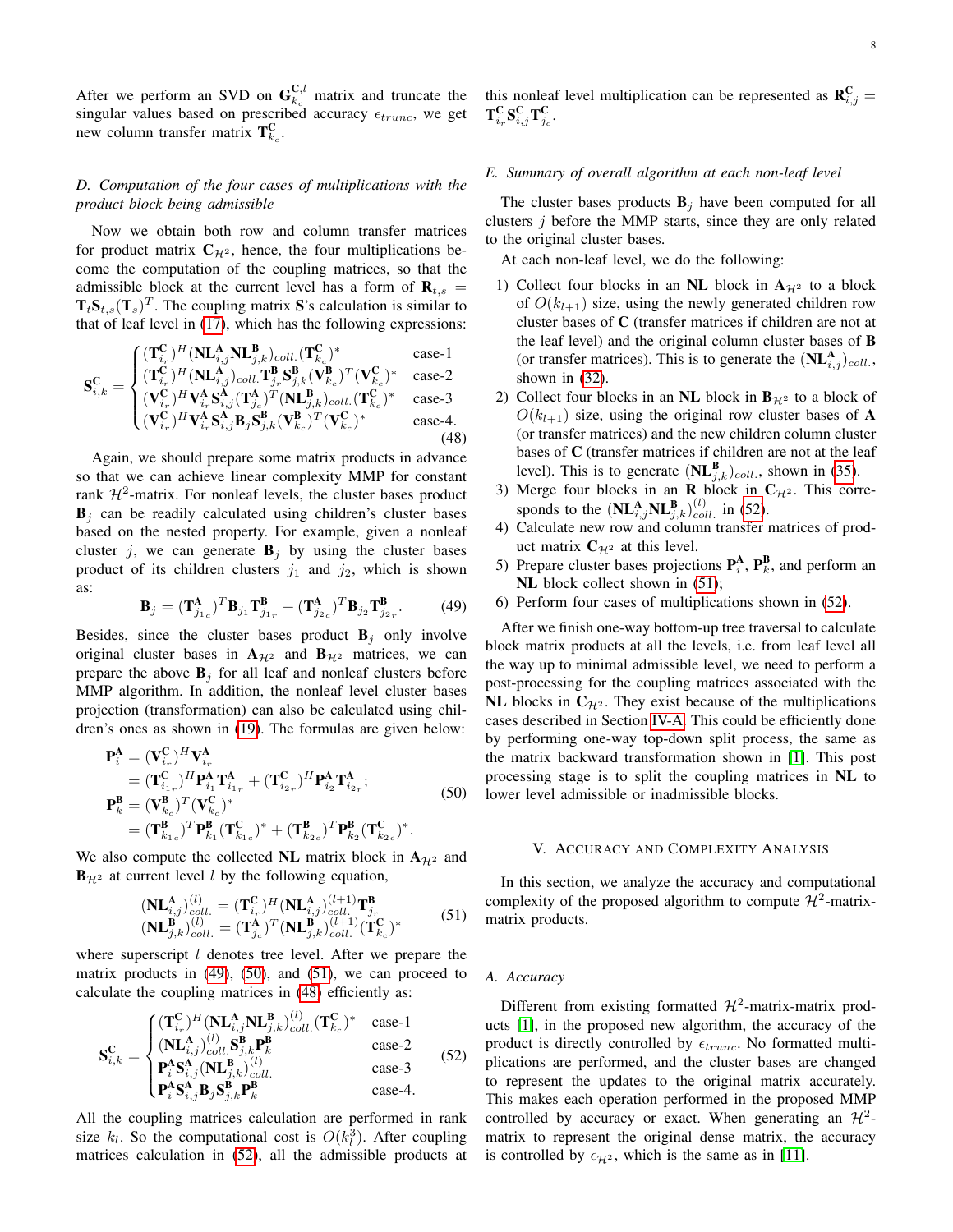After we perform an SVD on  $\mathbf{G}_{k_c}^{\mathbf{C},l}$  matrix and truncate the singular values based on prescribed accuracy  $\epsilon_{trunc}$ , we get new column transfer matrix  $T_{k_c}^C$ .

## *D. Computation of the four cases of multiplications with the product block being admissible*

Now we obtain both row and column transfer matrices for product matrix  $C_{\mathcal{H}^2}$ , hence, the four multiplications become the computation of the coupling matrices, so that the admissible block at the current level has a form of  $\mathbf{R}_{t,s}$  =  $T_t S_{t,s}(T_s)^T$ . The coupling matrix S's calculation is similar to that of leaf level in [\(17\)](#page-3-2), which has the following expressions:

<span id="page-7-3"></span>
$$
\mathbf{S}_{i,k}^{\mathrm{C}} = \begin{cases} (\mathbf{T}_{i_r}^{\mathrm{C}})^H (\mathbf{N}\mathbf{L}_{i,j}^{\mathrm{A}}\mathbf{N}\mathbf{L}_{j,k}^{\mathrm{B}})_{coll.}(\mathbf{T}_{k_c}^{\mathrm{C}})^* & \text{case-1} \\ (\mathbf{T}_{i_r}^{\mathrm{C}})^H (\mathbf{N}\mathbf{L}_{i,j}^{\mathrm{A}})_{coll.} \mathbf{T}_{j_r}^{\mathrm{B}}\mathbf{S}_{j,k}^{\mathrm{B}}(\mathbf{V}_{k_c}^{\mathrm{B}})^T (\mathbf{V}_{k_c}^{\mathrm{C}})^* & \text{case-2} \\ (\mathbf{V}_{i_r}^{\mathrm{C}})^H \mathbf{V}_{i_r}^{\mathrm{A}}\mathbf{S}_{i,j}^{\mathrm{A}}(\mathbf{T}_{j_c}^{\mathrm{A}})^T (\mathbf{N}\mathbf{L}_{j,k}^{\mathrm{B}})_{coll.}(\mathbf{T}_{k_c}^{\mathrm{C}})^* & \text{case-3} \end{cases}
$$

$$
\begin{pmatrix}\n(\mathbf{v}_{i_r}) & \mathbf{v}_{i_r} \mathbf{v}_{i,j} (\mathbf{v}_{j_c}) & (\mathbf{v}_{j,k}/c_{ol} \cdot (\mathbf{v}_{k_c})) & \text{case 3} \\
(\mathbf{V}_{i_r}^{\mathbf{C}})^H \mathbf{V}_{i_r}^{\mathbf{A}} \mathbf{S}_{i,j}^{\mathbf{A}} \mathbf{B}_{j} \mathbf{S}_{j,k}^{\mathbf{B}} (\mathbf{V}_{k_c}^{\mathbf{B}})^T (\mathbf{V}_{k_c}^{\mathbf{C}})^* & \text{case-4.} \\
(48)\n\end{pmatrix}
$$

Again, we should prepare some matrix products in advance so that we can achieve linear complexity MMP for constant rank  $\mathcal{H}^2$ -matrix. For nonleaf levels, the cluster bases product  $B_i$  can be readily calculated using children's cluster bases based on the nested property. For example, given a nonleaf cluster j, we can generate  $B_i$  by using the cluster bases product of its children clusters  $j_1$  and  $j_2$ , which is shown as:

<span id="page-7-0"></span>
$$
\mathbf{B}_{j} = (\mathbf{T}_{j_{1c}}^{\mathbf{A}})^{T} \mathbf{B}_{j_{1}} \mathbf{T}_{j_{1r}}^{\mathbf{B}} + (\mathbf{T}_{j_{2c}}^{\mathbf{A}})^{T} \mathbf{B}_{j_{2}} \mathbf{T}_{j_{2r}}^{\mathbf{B}}.
$$
 (49)

Besides, since the cluster bases product  $B_j$  only involve original cluster bases in  $A_{H^2}$  and  $B_{H^2}$  matrices, we can prepare the above  $B_j$  for all leaf and nonleaf clusters before MMP algorithm. In addition, the nonleaf level cluster bases projection (transformation) can also be calculated using children's ones as shown in [\(19\)](#page-3-3). The formulas are given below:

<span id="page-7-1"></span>
$$
\begin{split} \mathbf{P}_{i}^{\mathbf{A}} &= (\mathbf{V}_{i_{r}}^{\mathbf{C}})^{H} \mathbf{V}_{i_{r}}^{\mathbf{A}} \\ &= (\mathbf{T}_{i_{1r}}^{\mathbf{C}})^{H} \mathbf{P}_{i_{1}}^{\mathbf{A}} \mathbf{T}_{i_{1r}}^{\mathbf{A}} + (\mathbf{T}_{i_{2r}}^{\mathbf{C}})^{H} \mathbf{P}_{i_{2}}^{\mathbf{A}} \mathbf{T}_{i_{2r}}^{\mathbf{A}}; \\ \mathbf{P}_{k}^{\mathbf{B}} &= (\mathbf{V}_{k_{c}}^{\mathbf{B}})^{T} (\mathbf{V}_{k_{c}}^{\mathbf{C}})^{*} \\ &= (\mathbf{T}_{k_{1c}}^{\mathbf{B}})^{T} \mathbf{P}_{k_{1}}^{\mathbf{B}} (\mathbf{T}_{k_{1c}}^{\mathbf{C}})^{*} + (\mathbf{T}_{k_{2c}}^{\mathbf{B}})^{T} \mathbf{P}_{k_{2}}^{\mathbf{B}} (\mathbf{T}_{k_{2c}}^{\mathbf{C}})^{*}. \end{split} \tag{50}
$$

We also compute the collected NL matrix block in  $A_{\mathcal{H}^2}$  and  $\mathbf{B}_{\mathcal{H}^2}$  at current level l by the following equation,

<span id="page-7-2"></span>
$$
(\mathbf{NL}_{i,j}^{\mathbf{A}})^{(l)}_{i,j})_{coll.}^{(l)} = (\mathbf{T}_{i,r}^{\mathbf{C}})^H (\mathbf{NL}_{i,j}^{\mathbf{A}})^{(l+1)}_{i,l} \mathbf{T}_{j,r}^{\mathbf{B}} (\mathbf{NL}_{j,k}^{\mathbf{B}})^{(l)}_{coll.} = (\mathbf{T}_{j_c}^{\mathbf{A}})^T (\mathbf{NL}_{j,k}^{\mathbf{B}})^{(l+1)}_{coll.} (\mathbf{T}_{k_c}^{\mathbf{C}})^*
$$
(51)

where superscript  $l$  denotes tree level. After we prepare the matrix products in [\(49\)](#page-7-0), [\(50\)](#page-7-1), and [\(51\)](#page-7-2), we can proceed to calculate the coupling matrices in [\(48\)](#page-7-3) efficiently as:

<span id="page-7-4"></span>
$$
\mathbf{S}_{i,k}^{\mathbf{C}} = \begin{cases} (\mathbf{T}_{i_{r}}^{\mathbf{C}})^{H} (\mathbf{NL}_{i,j}^{\mathbf{A}} \mathbf{NL}_{j,k}^{\mathbf{B}})^{(l)}_{coll.} (\mathbf{T}_{k_{c}}^{\mathbf{C}})^{*} & \text{case-1} \\ (\mathbf{NL}_{i,j}^{\mathbf{A}})^{(l)}_{coll.} \mathbf{S}_{j,k}^{\mathbf{B}} \mathbf{P}_{k}^{\mathbf{B}} & \text{case-2} \\ \mathbf{P}_{i}^{\mathbf{A}} \mathbf{S}_{i,j}^{\mathbf{A}} (\mathbf{NL}_{j,k}^{\mathbf{B}})^{(l)}_{coll.} & \text{case-3} \\ \mathbf{P}_{i}^{\mathbf{A}} \mathbf{S}_{i,j}^{\mathbf{A}} \mathbf{B}_{j} \mathbf{S}_{j,k}^{\mathbf{B}} \mathbf{P}_{k}^{\mathbf{B}} & \text{case-4.} \end{cases}
$$
(52)

All the coupling matrices calculation are performed in rank size  $k_l$ . So the computational cost is  $O(k_l^3)$ . After coupling matrices calculation in [\(52\)](#page-7-4), all the admissible products at

## *E. Summary of overall algorithm at each non-leaf level*

The cluster bases products  $B_i$  have been computed for all clusters  $j$  before the MMP starts, since they are only related to the original cluster bases.

At each non-leaf level, we do the following:

- 1) Collect four blocks in an NL block in  $A_{H<sup>2</sup>}$  to a block of  $O(k_{l+1})$  size, using the newly generated children row cluster bases of C (transfer matrices if children are not at the leaf level) and the original column cluster bases of B (or transfer matrices). This is to generate the  $(NL<sup>A</sup><sub>i,j</sub>)<sub>coll.</sub>$ , shown in [\(32\)](#page-5-5).
- 2) Collect four blocks in an NL block in  $B_{H<sup>2</sup>}$  to a block of  $O(k_{l+1})$  size, using the original row cluster bases of A (or transfer matrices) and the new children column cluster bases of C (transfer matrices if children are not at the leaf level). This is to generate  $(\mathbf{NL}_{j,k}^{\mathbf{B}})_{coll.}$ , shown in [\(35\)](#page-6-0).
- 3) Merge four blocks in an **R** block in  $C_{\mathcal{H}^2}$ . This corresponds to the  $(\mathbf{NL}_{i,j}^{\mathbf{A}}\mathbf{NL}_{j,k}^{\mathbf{B}})_{coll.}^{(l)}$  in [\(52\)](#page-7-4).
- 4) Calculate new row and column transfer matrices of product matrix  $\mathbf{C}_{\mathcal{H}^2}$  at this level.
- 5) Prepare cluster bases projections  $\mathbf{P}_i^A$ ,  $\mathbf{P}_k^B$ , and perform an NL block collect shown in  $(51)$ ;
- 6) Perform four cases of multiplications shown in [\(52\)](#page-7-4).

After we finish one-way bottom-up tree traversal to calculate block matrix products at all the levels, i.e. from leaf level all the way up to minimal admissible level, we need to perform a post-processing for the coupling matrices associated with the NL blocks in  $C_{\mathcal{H}^2}$ . They exist because of the multiplications cases described in Section [IV-A.](#page-4-1) This could be efficiently done by performing one-way top-down split process, the same as the matrix backward transformation shown in [\[1\]](#page-11-0). This post processing stage is to split the coupling matrices in NL to lower level admissible or inadmissible blocks.

#### V. ACCURACY AND COMPLEXITY ANALYSIS

In this section, we analyze the accuracy and computational complexity of the proposed algorithm to compute  $\mathcal{H}^2$ -matrixmatrix products.

## *A. Accuracy*

Different from existing formatted  $\mathcal{H}^2$ -matrix-matrix products [\[1\]](#page-11-0), in the proposed new algorithm, the accuracy of the product is directly controlled by  $\epsilon_{trunc}$ . No formatted multiplications are performed, and the cluster bases are changed to represent the updates to the original matrix accurately. This makes each operation performed in the proposed MMP controlled by accuracy or exact. When generating an  $\mathcal{H}^2$ matrix to represent the original dense matrix, the accuracy is controlled by  $\epsilon_{H^2}$ , which is the same as in [\[11\]](#page-11-9).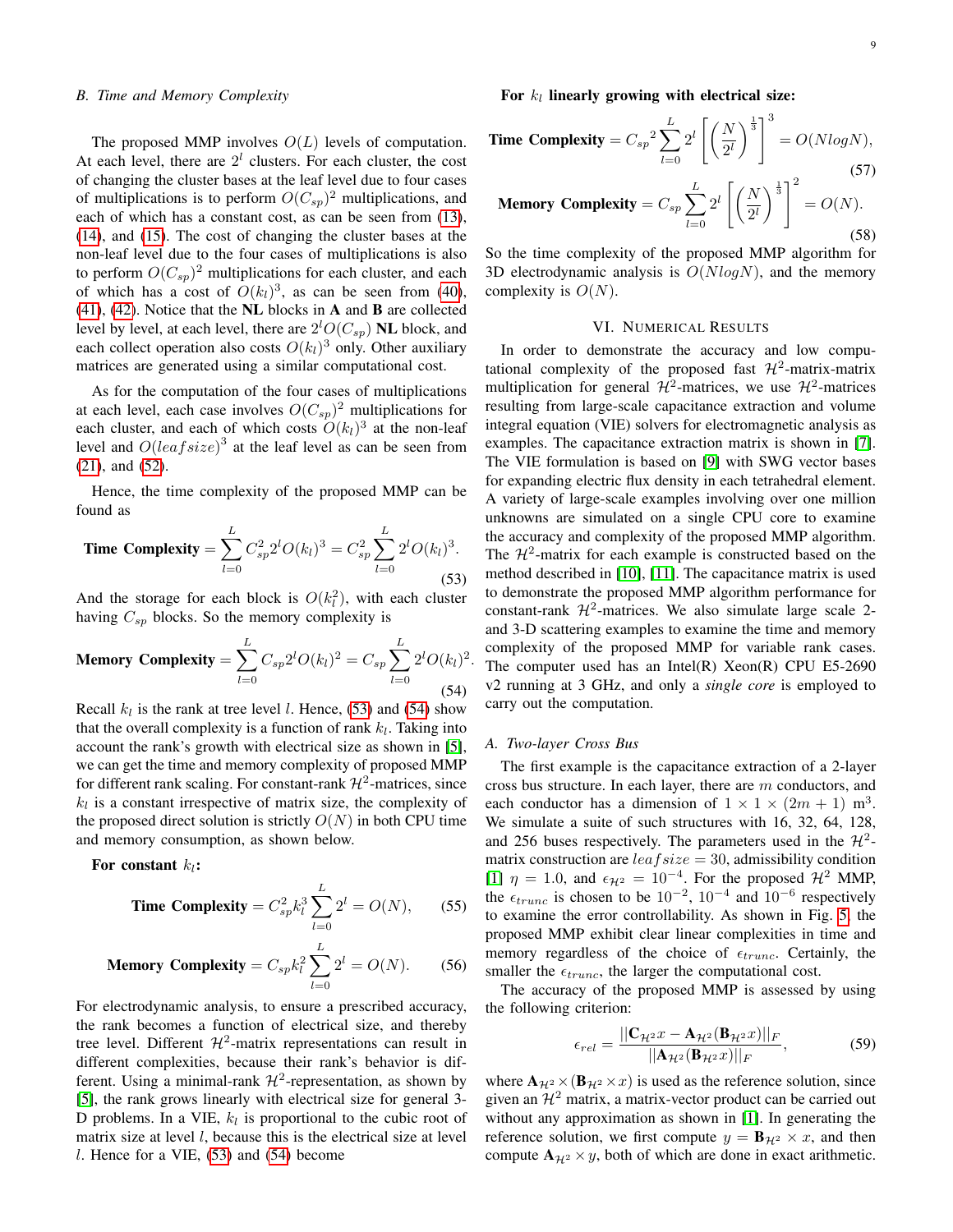## *B. Time and Memory Complexity*

The proposed MMP involves  $O(L)$  levels of computation. At each level, there are  $2<sup>l</sup>$  clusters. For each cluster, the cost of changing the cluster bases at the leaf level due to four cases of multiplications is to perform  $O(C_{sp})^2$  multiplications, and each of which has a constant cost, as can be seen from [\(13\)](#page-3-4), [\(14\)](#page-3-5), and [\(15\)](#page-3-6). The cost of changing the cluster bases at the non-leaf level due to the four cases of multiplications is also to perform  $O(C_{sp})^2$  multiplications for each cluster, and each of which has a cost of  $O(k_l)^3$ , as can be seen from [\(40\)](#page-6-1), [\(41\)](#page-6-2), [\(42\)](#page-6-3). Notice that the NL blocks in A and B are collected level by level, at each level, there are  $2^lO(C_{sp})$  NL block, and each collect operation also costs  $O(k_l)^3$  only. Other auxiliary matrices are generated using a similar computational cost.

As for the computation of the four cases of multiplications at each level, each case involves  $O(C_{sp})^2$  multiplications for each cluster, and each of which costs  $O(k_l)^3$  at the non-leaf level and  $O(leafsize)^3$  at the leaf level as can be seen from [\(21\)](#page-4-2), and [\(52\)](#page-7-4).

Hence, the time complexity of the proposed MMP can be found as

<span id="page-8-0"></span>**Time Complexity** = 
$$
\sum_{l=0}^{L} C_{sp}^{2} 2^{l} O(k_{l})^{3} = C_{sp}^{2} \sum_{l=0}^{L} 2^{l} O(k_{l})^{3}.
$$
 (53)

And the storage for each block is  $O(k_i^2)$ , with each cluster having  $C_{sp}$  blocks. So the memory complexity is

<span id="page-8-1"></span>Memory Complexity = 
$$
\sum_{l=0}^{L} C_{sp} 2^l O(k_l)^2 = C_{sp} \sum_{l=0}^{L} 2^l O(k_l)^2
$$
. (54)

Recall  $k_l$  is the rank at tree level *l*. Hence, [\(53\)](#page-8-0) and [\(54\)](#page-8-1) show that the overall complexity is a function of rank  $k_l$ . Taking into account the rank's growth with electrical size as shown in [\[5\]](#page-11-4), we can get the time and memory complexity of proposed MMP for different rank scaling. For constant-rank  $\mathcal{H}^2$ -matrices, since  $k_l$  is a constant irrespective of matrix size, the complexity of the proposed direct solution is strictly  $O(N)$  in both CPU time and memory consumption, as shown below.

For constant  $k_l$ :

**Time Complexity** = 
$$
C_{sp}^2 k_l^3 \sum_{l=0}^{L} 2^l = O(N)
$$
, (55)

**Memory Complexity** = 
$$
C_{sp}k_l^2 \sum_{l=0}^{L} 2^l = O(N)
$$
. (56)

For electrodynamic analysis, to ensure a prescribed accuracy, the rank becomes a function of electrical size, and thereby tree level. Different  $\mathcal{H}^2$ -matrix representations can result in different complexities, because their rank's behavior is different. Using a minimal-rank  $\mathcal{H}^2$ -representation, as shown by [\[5\]](#page-11-4), the rank grows linearly with electrical size for general 3- D problems. In a VIE,  $k_l$  is proportional to the cubic root of matrix size at level  $l$ , because this is the electrical size at level  $l$ . Hence for a VIE,  $(53)$  and  $(54)$  become

For  $k_l$  linearly growing with electrical size:

**Time Complexity** = 
$$
C_{sp}^2 \sum_{l=0}^{L} 2^l \left[ \left( \frac{N}{2^l} \right)^{\frac{1}{3}} \right]^3 = O(N \log N),
$$
  
\n**Memory Complexity** =  $C_{sp} \sum_{l=0}^{L} 2^l \left[ \left( \frac{N}{2^l} \right)^{\frac{1}{3}} \right]^2 = O(N).$   
\n(58)

So the time complexity of the proposed MMP algorithm for 3D electrodynamic analysis is  $O(N \log N)$ , and the memory complexity is  $O(N)$ .

#### VI. NUMERICAL RESULTS

In order to demonstrate the accuracy and low computational complexity of the proposed fast  $\mathcal{H}^2$ -matrix-matrix multiplication for general  $\mathcal{H}^2$ -matrices, we use  $\mathcal{H}^2$ -matrices resulting from large-scale capacitance extraction and volume integral equation (VIE) solvers for electromagnetic analysis as examples. The capacitance extraction matrix is shown in [\[7\]](#page-11-5). The VIE formulation is based on [\[9\]](#page-11-10) with SWG vector bases for expanding electric flux density in each tetrahedral element. A variety of large-scale examples involving over one million unknowns are simulated on a single CPU core to examine the accuracy and complexity of the proposed MMP algorithm. The  $\mathcal{H}^2$ -matrix for each example is constructed based on the method described in [\[10\]](#page-11-11), [\[11\]](#page-11-9). The capacitance matrix is used to demonstrate the proposed MMP algorithm performance for constant-rank  $\mathcal{H}^2$ -matrices. We also simulate large scale 2and 3-D scattering examples to examine the time and memory complexity of the proposed MMP for variable rank cases. The computer used has an Intel(R) Xeon(R) CPU E5-2690 v2 running at 3 GHz, and only a *single core* is employed to carry out the computation.

## *A. Two-layer Cross Bus*

The first example is the capacitance extraction of a 2-layer cross bus structure. In each layer, there are m conductors, and each conductor has a dimension of  $1 \times 1 \times (2m + 1)$  m<sup>3</sup>. We simulate a suite of such structures with 16, 32, 64, 128, and 256 buses respectively. The parameters used in the  $\mathcal{H}^2$ matrix construction are  $leafsize = 30$ , admissibility condition [\[1\]](#page-11-0)  $\eta = 1.0$ , and  $\epsilon_{H2} = 10^{-4}$ . For the proposed  $\mathcal{H}^2$  MMP, the  $\epsilon_{trunc}$  is chosen to be  $10^{-2}$ ,  $10^{-4}$  and  $10^{-6}$  respectively to examine the error controllability. As shown in Fig. [5,](#page-9-0) the proposed MMP exhibit clear linear complexities in time and memory regardless of the choice of  $\epsilon_{trunc}$ . Certainly, the smaller the  $\epsilon_{trunc}$ , the larger the computational cost.

The accuracy of the proposed MMP is assessed by using the following criterion:

<span id="page-8-2"></span>
$$
\epsilon_{rel} = \frac{||\mathbf{C}_{\mathcal{H}^2}x - \mathbf{A}_{\mathcal{H}^2}(\mathbf{B}_{\mathcal{H}^2}x)||_F}{||\mathbf{A}_{\mathcal{H}^2}(\mathbf{B}_{\mathcal{H}^2}x)||_F},\tag{59}
$$

where  $\mathbf{A}_{\mathcal{H}^2} \times (\mathbf{B}_{\mathcal{H}^2} \times x)$  is used as the reference solution, since given an  $\mathcal{H}^2$  matrix, a matrix-vector product can be carried out without any approximation as shown in [\[1\]](#page-11-0). In generating the reference solution, we first compute  $y = \mathbf{B}_{\mathcal{H}^2} \times x$ , and then compute  $A_{\mathcal{H}^2} \times y$ , both of which are done in exact arithmetic.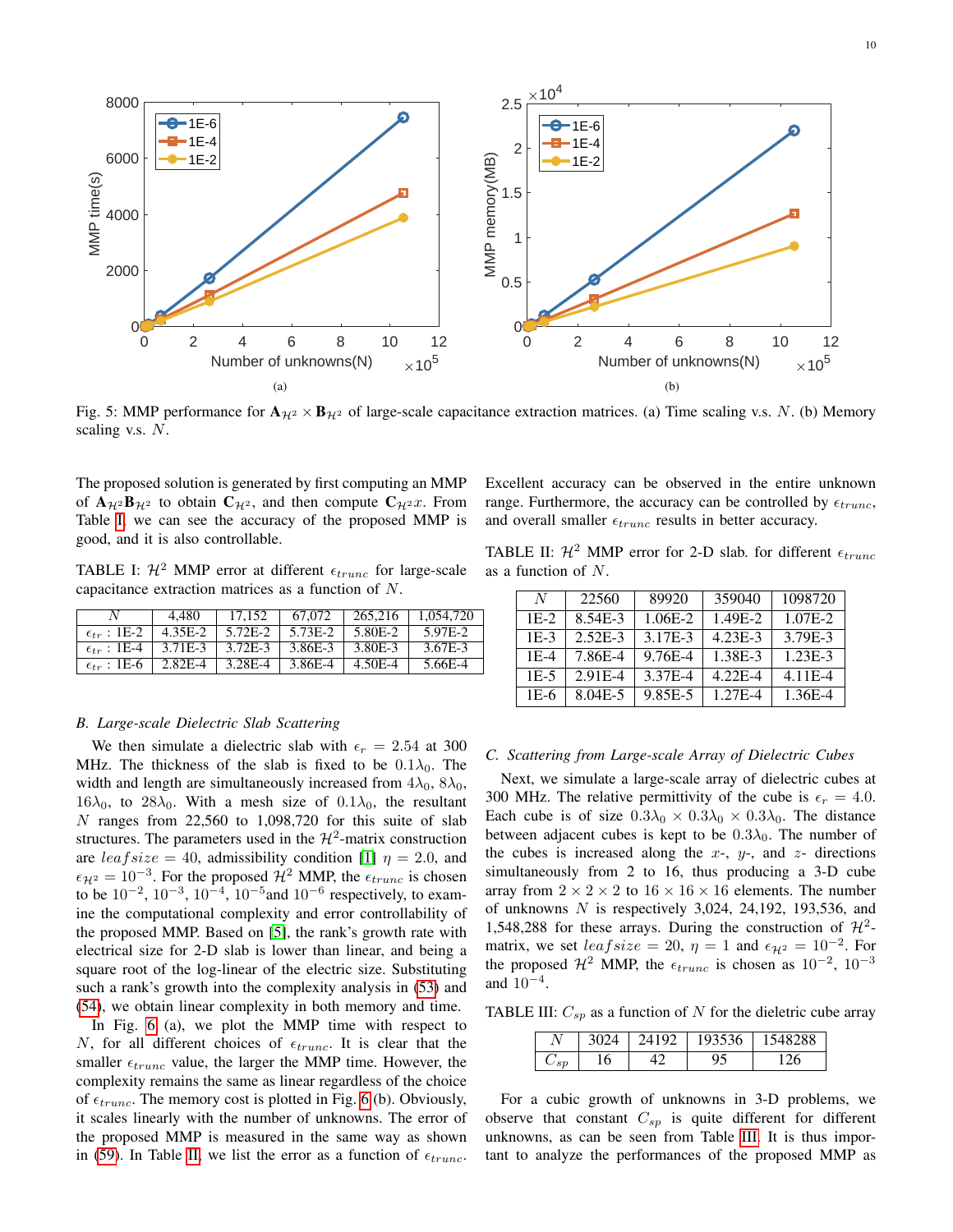<span id="page-9-0"></span> $\times$ 10<sup>4</sup> 8000 2.5  $-1E-6$ 1E-6  $-1E-4$ 1E-4 2 6000 1E-2 MMP memory(MB) MMP memory(MB) 1E-2 MMP time(s) MMP time(s) 1.5 4000 1 2000 0.5  $0<sub>0</sub>$  $0<sub>0</sub>$ 0 2 4 6 8 10 12 0 2 4 6 8 10 12 Number of unknowns(N)  $\times 10^5$ Number of unknowns(N)  $\times 10^5$ (b) (a)

Fig. 5: MMP performance for  $A_{\mathcal{H}^2} \times B_{\mathcal{H}^2}$  of large-scale capacitance extraction matrices. (a) Time scaling v.s. N. (b) Memory scaling v.s.  $N$ .

The proposed solution is generated by first computing an MMP of  $A_{\mathcal{H}^2}B_{\mathcal{H}^2}$  to obtain  $C_{\mathcal{H}^2}$ , and then compute  $C_{\mathcal{H}^2}x$ . From Table [I,](#page-9-1) we can see the accuracy of the proposed MMP is good, and it is also controllable.

<span id="page-9-1"></span>TABLE I:  $\mathcal{H}^2$  MMP error at different  $\epsilon_{trunc}$  for large-scale capacitance extraction matrices as a function of N.

|                        | 4.480     | 17.152  | 67.072  | 265,216 | 1.054.720 |
|------------------------|-----------|---------|---------|---------|-----------|
| $\epsilon_{tr}$ : 1E-2 | 4.35E-2   | 5.72E-2 | 5.73E-2 | 5.80E-2 | 5.97E-2   |
| $\epsilon_{tr}$ : 1E-4 | 3.71E-3   | 3.72E-3 | 3.86E-3 | 3.80E-3 | 3.67E-3   |
| $\epsilon_{tr}$ : 1E-6 | $2.82E-4$ | 3.28E-4 | 3.86E-4 | 4.50E-4 | 5.66E-4   |

| Excellent accuracy can be observed in the entire unknown                   |  |  |  |  |
|----------------------------------------------------------------------------|--|--|--|--|
| range. Furthermore, the accuracy can be controlled by $\epsilon_{trunc}$ , |  |  |  |  |
| and overall smaller $\epsilon_{trunc}$ results in better accuracy.         |  |  |  |  |

<span id="page-9-2"></span>TABLE II:  $\mathcal{H}^2$  MMP error for 2-D slab. for different  $\epsilon_{trunc}$ as a function of N.

| N      | 22560       | 89920   | 359040      | 1098720   |
|--------|-------------|---------|-------------|-----------|
| $1E-2$ | 8.54E-3     | 1.06E-2 | 1.49E-2     | 1.07E-2   |
| $1E-3$ | $2.52E-3$   | 3.17E-3 | $4.23E-3$   | 3.79E-3   |
| $1E-4$ | 7.86E-4     | 9.76E-4 | 1.38E-3     | $1.23E-3$ |
| $1E-5$ | $2.91E-4$   | 3.37E-4 | $4.22E - 4$ | $4.11E-4$ |
| 1E-6   | $8.04E - 5$ | 9.85E-5 | 1.27E-4     | 1.36E-4   |

# *B. Large-scale Dielectric Slab Scattering*

We then simulate a dielectric slab with  $\epsilon_r = 2.54$  at 300 MHz. The thickness of the slab is fixed to be  $0.1\lambda_0$ . The width and length are simultaneously increased from  $4\lambda_0$ ,  $8\lambda_0$ ,  $16\lambda_0$ , to  $28\lambda_0$ . With a mesh size of  $0.1\lambda_0$ , the resultant N ranges from  $22,560$  to 1,098,720 for this suite of slab structures. The parameters used in the  $\mathcal{H}^2$ -matrix construction are  $leafsize = 40$ , admissibility condition [\[1\]](#page-11-0)  $\eta = 2.0$ , and  $\epsilon_{H^2} = 10^{-3}$ . For the proposed  $\mathcal{H}^2$  MMP, the  $\epsilon_{trunc}$  is chosen to be  $10^{-2}$ ,  $10^{-3}$ ,  $10^{-4}$ ,  $10^{-5}$  and  $10^{-6}$  respectively, to examine the computational complexity and error controllability of the proposed MMP. Based on [\[5\]](#page-11-4), the rank's growth rate with electrical size for 2-D slab is lower than linear, and being a square root of the log-linear of the electric size. Substituting such a rank's growth into the complexity analysis in [\(53\)](#page-8-0) and [\(54\)](#page-8-1), we obtain linear complexity in both memory and time.

In Fig. [6](#page-10-0) (a), we plot the MMP time with respect to N, for all different choices of  $\epsilon_{trunc}$ . It is clear that the smaller  $\epsilon_{trunc}$  value, the larger the MMP time. However, the complexity remains the same as linear regardless of the choice of  $\epsilon_{trunc}$ . The memory cost is plotted in Fig. [6](#page-10-0) (b). Obviously, it scales linearly with the number of unknowns. The error of the proposed MMP is measured in the same way as shown in [\(59\)](#page-8-2). In Table [II,](#page-9-2) we list the error as a function of  $\epsilon_{trunc}$ .

# *C. Scattering from Large-scale Array of Dielectric Cubes*

Next, we simulate a large-scale array of dielectric cubes at 300 MHz. The relative permittivity of the cube is  $\epsilon_r = 4.0$ . Each cube is of size  $0.3\lambda_0 \times 0.3\lambda_0 \times 0.3\lambda_0$ . The distance between adjacent cubes is kept to be  $0.3\lambda_0$ . The number of the cubes is increased along the  $x-$ ,  $y-$ , and  $z-$  directions simultaneously from 2 to 16, thus producing a 3-D cube array from  $2 \times 2 \times 2$  to  $16 \times 16 \times 16$  elements. The number of unknowns  $N$  is respectively 3,024, 24,192, 193,536, and 1,548,288 for these arrays. During the construction of  $\mathcal{H}^2$ matrix, we set  $leafsize = 20$ ,  $\eta = 1$  and  $\epsilon_{\mathcal{H}^2} = 10^{-2}$ . For the proposed  $\mathcal{H}^2$  MMP, the  $\epsilon_{trunc}$  is chosen as  $10^{-2}$ ,  $10^{-3}$ and 10<sup>−</sup><sup>4</sup> .

<span id="page-9-3"></span>TABLE III:  $C_{sp}$  as a function of N for the dieletric cube array

| - - |    | $\sim$<br>֊ | $\Omega$ |
|-----|----|-------------|----------|
| ı   | ΙU |             |          |

For a cubic growth of unknowns in 3-D problems, we observe that constant  $C_{sp}$  is quite different for different unknowns, as can be seen from Table [III.](#page-9-3) It is thus important to analyze the performances of the proposed MMP as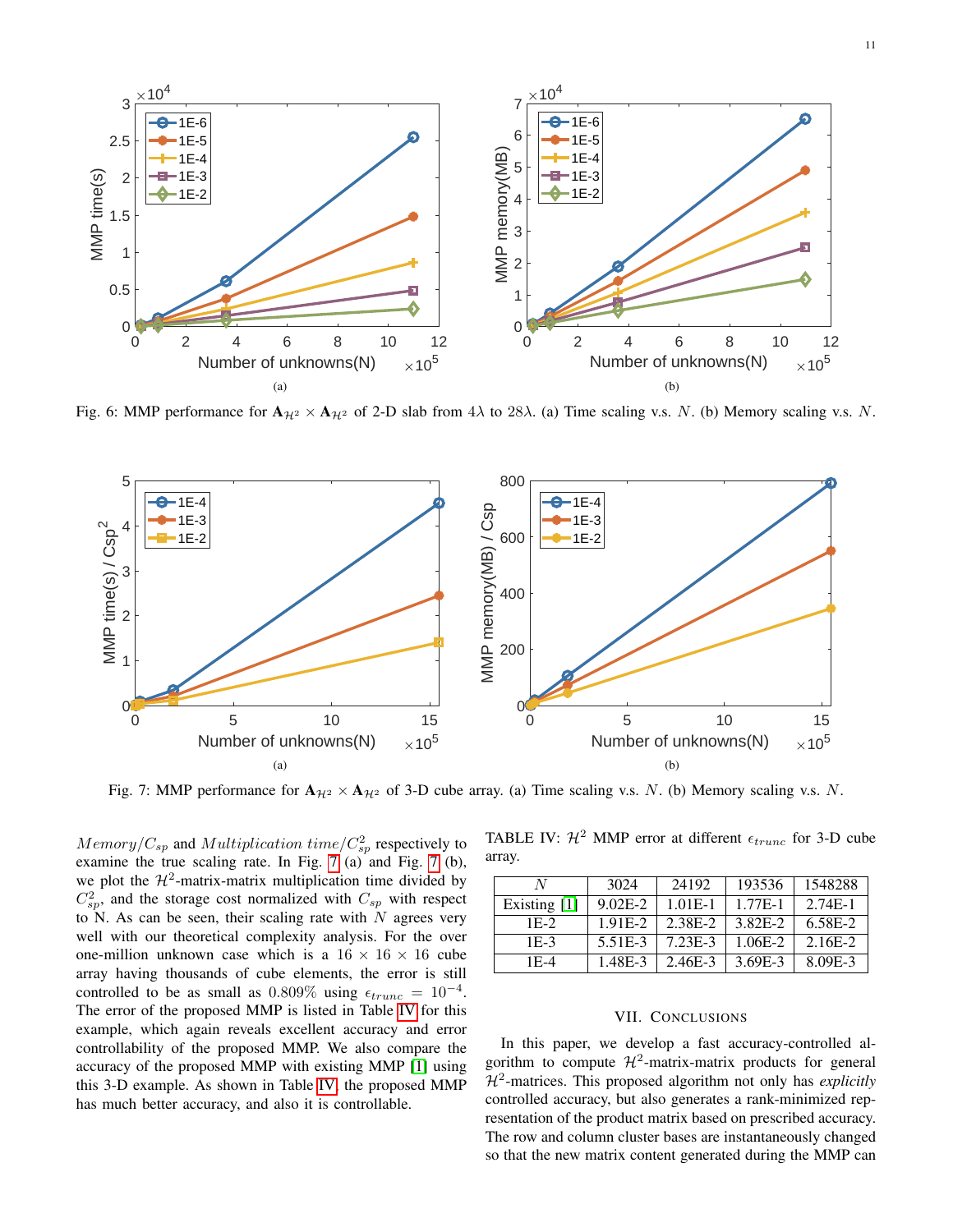<span id="page-10-0"></span>

<span id="page-10-1"></span>Fig. 6: MMP performance for  $A_{\mathcal{H}^2} \times A_{\mathcal{H}^2}$  of 2-D slab from  $4\lambda$  to  $28\lambda$ . (a) Time scaling v.s. N. (b) Memory scaling v.s. N.



Fig. 7: MMP performance for  $A_{\mathcal{H}^2} \times A_{\mathcal{H}^2}$  of 3-D cube array. (a) Time scaling v.s. N. (b) Memory scaling v.s. N.

 $Memory/C_{sp}$  and  $Multiplication$   $time/C_{sp}^2$  respectively to examine the true scaling rate. In Fig. [7](#page-10-1) (a) and Fig. 7 (b), we plot the  $\mathcal{H}^2$ -matrix-matrix multiplication time divided by  $C_{sp}^2$ , and the storage cost normalized with  $C_{sp}$  with respect to N. As can be seen, their scaling rate with  $N$  agrees very well with our theoretical complexity analysis. For the over one-million unknown case which is a  $16 \times 16 \times 16$  cube array having thousands of cube elements, the error is still controlled to be as small as  $0.809\%$  using  $\epsilon_{trunc} = 10^{-4}$ . The error of the proposed MMP is listed in Table [IV](#page-10-2) for this example, which again reveals excellent accuracy and error controllability of the proposed MMP. We also compare the accuracy of the proposed MMP with existing MMP [\[1\]](#page-11-0) using this 3-D example. As shown in Table [IV,](#page-10-2) the proposed MMP has much better accuracy, and also it is controllable.

<span id="page-10-2"></span>TABLE IV:  $\mathcal{H}^2$  MMP error at different  $\epsilon_{trunc}$  for 3-D cube array.

| N              | 3024                 | 24192     | 193536  | 1548288   |
|----------------|----------------------|-----------|---------|-----------|
| Existing $[1]$ | $9.02E-2$            | $1.01E-1$ | 1.77E-1 | $2.74E-1$ |
| 1E-2           | 1.91E-2              | 2.38E-2   | 3.82E-2 | 6.58E-2   |
| $1E-3$         | 5.51 <sub>E</sub> -3 | 7.23E-3   | 1.06E-2 | $2.16E-2$ |
| 1E-4           | 1.48E-3              | 2.46E-3   | 3.69E-3 | 8.09E-3   |

## VII. CONCLUSIONS

In this paper, we develop a fast accuracy-controlled algorithm to compute  $\mathcal{H}^2$ -matrix-matrix products for general H<sup>2</sup> -matrices. This proposed algorithm not only has *explicitly* controlled accuracy, but also generates a rank-minimized representation of the product matrix based on prescribed accuracy. The row and column cluster bases are instantaneously changed so that the new matrix content generated during the MMP can